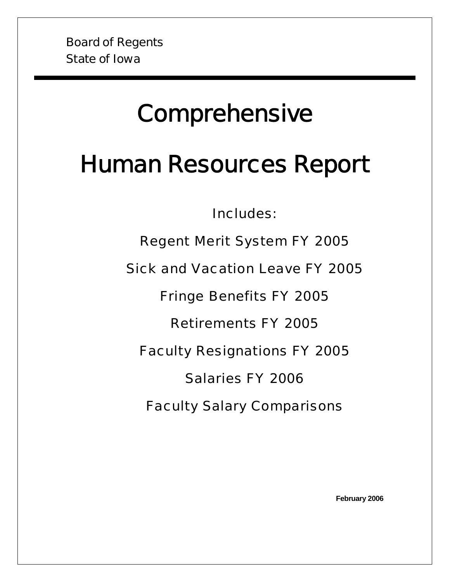# **Comprehensive**

# Human Resources Report

Includes:

Regent Merit System FY 2005

Sick and Vacation Leave FY 2005

Fringe Benefits FY 2005

Retirements FY 2005

Faculty Resignations FY 2005

Salaries FY 2006

Faculty Salary Comparisons

**February 2006**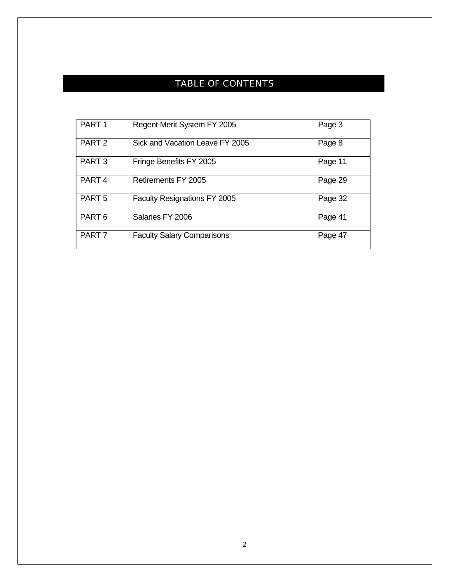# TABLE OF CONTENTS

| PART <sub>1</sub> | Regent Merit System FY 2005       | Page 3  |
|-------------------|-----------------------------------|---------|
| PART <sub>2</sub> | Sick and Vacation Leave FY 2005   | Page 8  |
| PART <sub>3</sub> | Fringe Benefits FY 2005           | Page 11 |
| PART <sub>4</sub> | Retirements FY 2005               | Page 29 |
| PART <sub>5</sub> | Faculty Resignations FY 2005      | Page 32 |
| PART <sub>6</sub> | Salaries FY 2006                  | Page 41 |
| PART <sub>7</sub> | <b>Faculty Salary Comparisons</b> | Page 47 |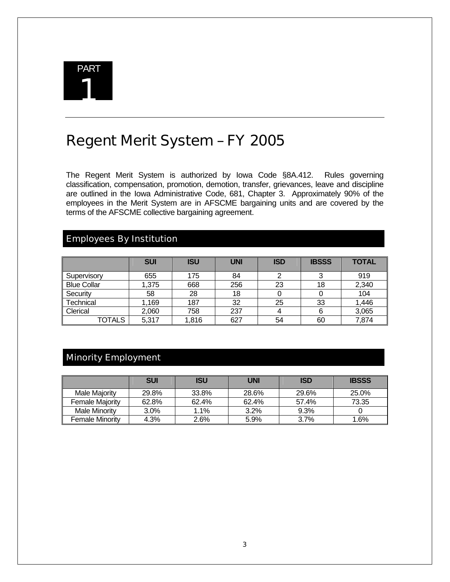

# Regent Merit System – FY 2005

The Regent Merit System is authorized by Iowa Code §8A.412. Rules governing classification, compensation, promotion, demotion, transfer, grievances, leave and discipline are outlined in the Iowa Administrative Code, 681, Chapter 3. Approximately 90% of the employees in the Merit System are in AFSCME bargaining units and are covered by the terms of the AFSCME collective bargaining agreement.

## Employees By Institution

|                    | <b>SUI</b> | <b>ISU</b> | <b>UNI</b> | <b>ISD</b> | <b>IBSSS</b> | <b>TOTAL</b> |
|--------------------|------------|------------|------------|------------|--------------|--------------|
| Supervisory        | 655        | 175        | 84         |            |              | 919          |
| <b>Blue Collar</b> | 1,375      | 668        | 256        | 23         | 18           | 2,340        |
| Security           | 58         | 28         | 18         |            |              | 104          |
| Technical          | 1,169      | 187        | 32         | 25         | 33           | 1,446        |
| Clerical           | 2,060      | 758        | 237        | 4          |              | 3,065        |
| TOTALS             | 5,317      | 1,816      | 627        | 54         | 60           | 7,874        |

# Minority Employment

|                        | <b>SUI</b> | <b>ISU</b> | <b>UNI</b> | <b>ISD</b> | <b>IBSSS</b> |
|------------------------|------------|------------|------------|------------|--------------|
| Male Maiority          | 29.8%      | 33.8%      | 28.6%      | 29.6%      | 25.0%        |
| <b>Female Majority</b> | 62.8%      | 62.4%      | 62.4%      | 57.4%      | 73.35        |
| <b>Male Minority</b>   | $3.0\%$    | 1.1%       | 3.2%       | 9.3%       |              |
| <b>Female Minority</b> | 4.3%       | $2.6\%$    | 5.9%       | 3.7%       | 1.6%         |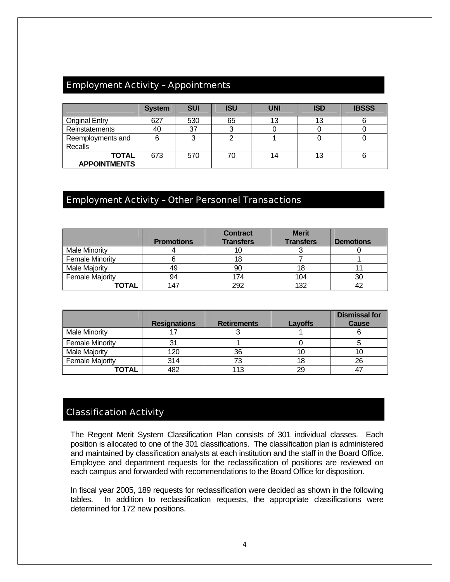## Employment Activity – Appointments

|                                     | <b>System</b> | <b>SUI</b> | <b>ISU</b> | <b>UNI</b> | <b>ISD</b> | <b>IBSSS</b> |
|-------------------------------------|---------------|------------|------------|------------|------------|--------------|
| <b>Original Entry</b>               | 627           | 530        | 65         | 13         |            |              |
| <b>Reinstatements</b>               | 40            | 37         |            |            |            |              |
| Reemployments and<br>Recalls        |               | っ          |            |            |            |              |
| <b>TOTAL</b><br><b>APPOINTMENTS</b> | 673           | 570        | 70         | 14         | 13         |              |

#### Employment Activity – Other Personnel Transactions

|                        | <b>Promotions</b> | <b>Contract</b><br><b>Transfers</b> | <b>Merit</b><br><b>Transfers</b> | <b>Demotions</b> |
|------------------------|-------------------|-------------------------------------|----------------------------------|------------------|
| <b>Male Minority</b>   |                   | 10                                  |                                  |                  |
| <b>Female Minority</b> |                   | 18                                  |                                  |                  |
| <b>Male Majority</b>   | 49                | 90                                  | 18                               |                  |
| <b>Female Majority</b> | 94                | 174                                 | 104                              | 30               |
| TOTAL                  | 147               | 292                                 | 132                              | 42               |

|                        | <b>Resignations</b> | <b>Retirements</b> | Layoffs | <b>Dismissal for</b><br><b>Cause</b> |
|------------------------|---------------------|--------------------|---------|--------------------------------------|
| <b>Male Minority</b>   |                     |                    |         |                                      |
| <b>Female Minority</b> |                     |                    |         |                                      |
| <b>Male Majority</b>   | 120                 | 36                 |         |                                      |
| <b>Female Majority</b> | 314                 | 73                 |         | 26                                   |
| TOTAL                  | 482                 | 113                | 29      |                                      |

#### Classification Activity

The Regent Merit System Classification Plan consists of 301 individual classes. Each position is allocated to one of the 301 classifications. The classification plan is administered and maintained by classification analysts at each institution and the staff in the Board Office. Employee and department requests for the reclassification of positions are reviewed on each campus and forwarded with recommendations to the Board Office for disposition.

In fiscal year 2005, 189 requests for reclassification were decided as shown in the following tables. In addition to reclassification requests, the appropriate classifications were determined for 172 new positions.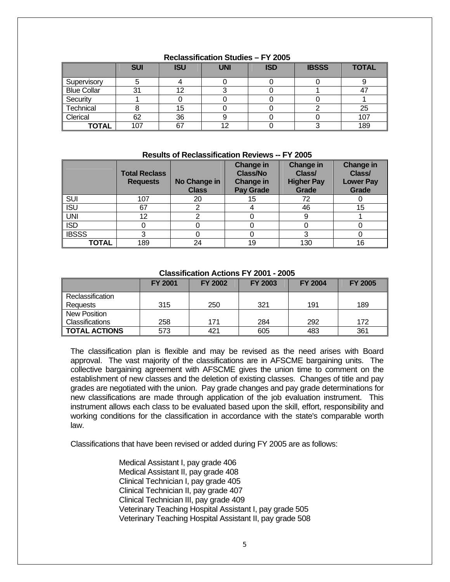|                    | <b>SUI</b> | <b>ISU</b> | <b>UNI</b> | <b>ISD</b> | <b>IBSSS</b> | <b>TOTAL</b> |
|--------------------|------------|------------|------------|------------|--------------|--------------|
| Supervisory        |            |            |            |            |              |              |
| <b>Blue Collar</b> | 31         |            |            |            |              |              |
| Security           |            |            |            |            |              |              |
| Technical          |            | 15         |            |            |              | 25           |
| Clerical           | 62         | 36         |            |            |              | 107          |
| <b>TOTAL</b>       | 107        | 67         | 10         |            |              | 189          |

#### **Reclassification Studies – FY 2005**

#### **Results of Reclassification Reviews -- FY 2005**

|              | <b>Total Reclass</b><br><b>Requests</b> | No Change in<br><b>Class</b> | <b>Change in</b><br><b>Class/No</b><br><b>Change in</b><br><b>Pay Grade</b> | <b>Change in</b><br>Class/<br><b>Higher Pay</b><br>Grade | <b>Change in</b><br>Class/<br><b>Lower Pay</b><br>Grade |
|--------------|-----------------------------------------|------------------------------|-----------------------------------------------------------------------------|----------------------------------------------------------|---------------------------------------------------------|
| <b>SUI</b>   | 107                                     | 20                           | 15                                                                          | 72                                                       |                                                         |
| <b>ISU</b>   | 67                                      |                              |                                                                             | 46                                                       | 15                                                      |
| <b>UNI</b>   | 12                                      |                              |                                                                             |                                                          |                                                         |
| <b>ISD</b>   |                                         |                              |                                                                             |                                                          |                                                         |
| <b>IBSSS</b> | っ                                       |                              |                                                                             | 3                                                        |                                                         |
| <b>TOTAL</b> | 189                                     | 24                           | 19                                                                          | 130                                                      | 16                                                      |

#### **Classification Actions FY 2001 - 2005**

|                      | <b>FY 2001</b> | <b>FY 2002</b> | <b>FY 2003</b> | <b>FY 2004</b> | <b>FY 2005</b> |
|----------------------|----------------|----------------|----------------|----------------|----------------|
| Reclassification     |                |                |                |                |                |
| Requests             | 315            | 250            | 321            | 191            | 189            |
| New Position         |                |                |                |                |                |
| Classifications      | 258            | 171            | 284            | 292            | 172            |
| <b>TOTAL ACTIONS</b> | 573            | 421            | 605            | 483            | 361            |

The classification plan is flexible and may be revised as the need arises with Board approval. The vast majority of the classifications are in AFSCME bargaining units. The collective bargaining agreement with AFSCME gives the union time to comment on the establishment of new classes and the deletion of existing classes. Changes of title and pay grades are negotiated with the union. Pay grade changes and pay grade determinations for new classifications are made through application of the job evaluation instrument. This instrument allows each class to be evaluated based upon the skill, effort, responsibility and working conditions for the classification in accordance with the state's comparable worth law.

Classifications that have been revised or added during FY 2005 are as follows:

 Medical Assistant I, pay grade 406 Medical Assistant II, pay grade 408 Clinical Technician I, pay grade 405 Clinical Technician II, pay grade 407 Clinical Technician III, pay grade 409 Veterinary Teaching Hospital Assistant I, pay grade 505 Veterinary Teaching Hospital Assistant II, pay grade 508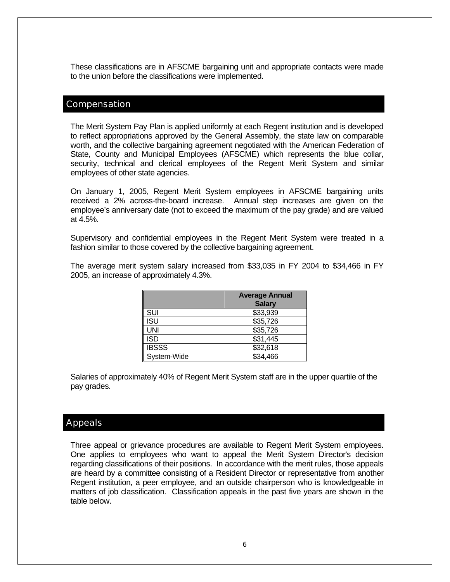These classifications are in AFSCME bargaining unit and appropriate contacts were made to the union before the classifications were implemented.

#### Compensation

The Merit System Pay Plan is applied uniformly at each Regent institution and is developed to reflect appropriations approved by the General Assembly, the state law on comparable worth, and the collective bargaining agreement negotiated with the American Federation of State, County and Municipal Employees (AFSCME) which represents the blue collar, security, technical and clerical employees of the Regent Merit System and similar employees of other state agencies.

On January 1, 2005, Regent Merit System employees in AFSCME bargaining units received a 2% across-the-board increase. Annual step increases are given on the employee's anniversary date (not to exceed the maximum of the pay grade) and are valued at 4.5%.

Supervisory and confidential employees in the Regent Merit System were treated in a fashion similar to those covered by the collective bargaining agreement.

The average merit system salary increased from \$33,035 in FY 2004 to \$34,466 in FY 2005, an increase of approximately 4.3%.

|              | <b>Average Annual</b><br><b>Salary</b> |
|--------------|----------------------------------------|
| SUI          | \$33,939                               |
| <b>ISU</b>   | \$35,726                               |
| <b>UNI</b>   | \$35,726                               |
| <b>ISD</b>   | \$31,445                               |
| <b>IBSSS</b> | \$32,618                               |
| System-Wide  | \$34,466                               |

Salaries of approximately 40% of Regent Merit System staff are in the upper quartile of the pay grades.

#### Appeals

Three appeal or grievance procedures are available to Regent Merit System employees. One applies to employees who want to appeal the Merit System Director's decision regarding classifications of their positions. In accordance with the merit rules, those appeals are heard by a committee consisting of a Resident Director or representative from another Regent institution, a peer employee, and an outside chairperson who is knowledgeable in matters of job classification. Classification appeals in the past five years are shown in the table below.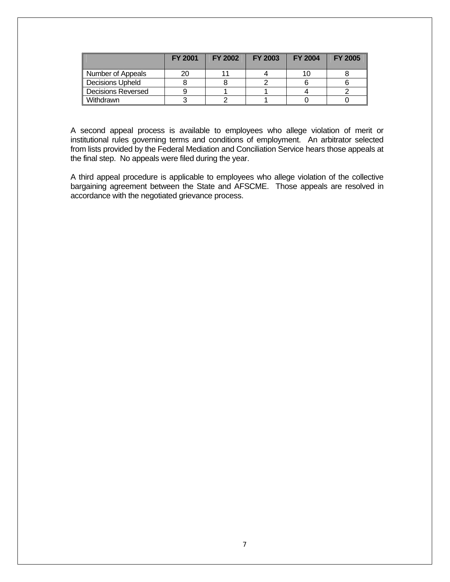|                           | <b>FY 2001</b> | <b>FY 2002</b> | <b>FY 2003</b> | <b>FY 2004</b> | <b>FY 2005</b> |
|---------------------------|----------------|----------------|----------------|----------------|----------------|
| Number of Appeals         | 20             |                |                |                |                |
| <b>Decisions Upheld</b>   |                |                |                |                |                |
| <b>Decisions Reversed</b> |                |                |                |                |                |
| Withdrawn                 |                |                |                |                |                |

A second appeal process is available to employees who allege violation of merit or institutional rules governing terms and conditions of employment. An arbitrator selected from lists provided by the Federal Mediation and Conciliation Service hears those appeals at the final step. No appeals were filed during the year.

A third appeal procedure is applicable to employees who allege violation of the collective bargaining agreement between the State and AFSCME. Those appeals are resolved in accordance with the negotiated grievance process.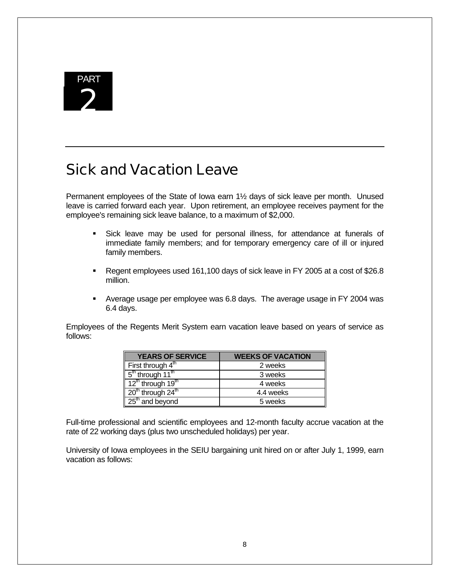

# Sick and Vacation Leave

Permanent employees of the State of Iowa earn 1½ days of sick leave per month. Unused leave is carried forward each year. Upon retirement, an employee receives payment for the employee's remaining sick leave balance, to a maximum of \$2,000.

- Sick leave may be used for personal illness, for attendance at funerals of immediate family members; and for temporary emergency care of ill or injured family members.
- Regent employees used 161,100 days of sick leave in FY 2005 at a cost of \$26.8 million.
- Average usage per employee was 6.8 days. The average usage in FY 2004 was 6.4 days.

Employees of the Regents Merit System earn vacation leave based on years of service as follows:

| <b>YEARS OF SERVICE</b>                                | <b>WEEKS OF VACATION</b> |
|--------------------------------------------------------|--------------------------|
| First through $4^{\text{th}}$                          | 2 weeks                  |
| $\frac{1}{2}$ 5 <sup>th</sup> through 11 <sup>th</sup> | 3 weeks                  |
| $12^{\text{th}}$ through 19 <sup>th</sup>              | 4 weeks                  |
| $\sqrt{20^{th}}$ through $24^{th}$                     | 4.4 weeks                |
| $\sqrt{25}$ and beyond                                 | 5 weeks                  |

Full-time professional and scientific employees and 12-month faculty accrue vacation at the rate of 22 working days (plus two unscheduled holidays) per year.

University of Iowa employees in the SEIU bargaining unit hired on or after July 1, 1999, earn vacation as follows: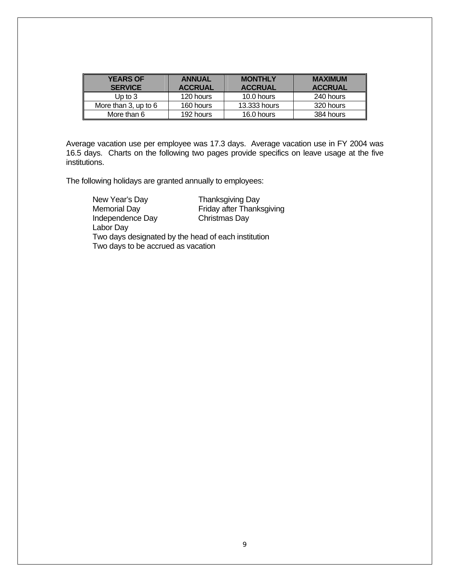| <b>YEARS OF</b><br><b>SERVICE</b> | <b>ANNUAL</b><br><b>ACCRUAL</b> | <b>MONTHLY</b><br><b>ACCRUAL</b> | <b>MAXIMUM</b><br><b>ACCRUAL</b> |
|-----------------------------------|---------------------------------|----------------------------------|----------------------------------|
|                                   |                                 |                                  |                                  |
| Up to $3$                         | 120 hours                       | 10.0 hours                       | 240 hours                        |
| More than 3, up to 6              | 160 hours                       | 13,333 hours                     | 320 hours                        |
| More than 6                       | 192 hours                       | 16.0 hours                       | 384 hours                        |

Average vacation use per employee was 17.3 days. Average vacation use in FY 2004 was 16.5 days. Charts on the following two pages provide specifics on leave usage at the five institutions.

The following holidays are granted annually to employees:

| New Year's Day                     | <b>Thanksgiving Day</b>                             |
|------------------------------------|-----------------------------------------------------|
| Memorial Day                       | Friday after Thanksgiving                           |
| Independence Day                   | Christmas Day                                       |
| Labor Day                          |                                                     |
|                                    | Two days designated by the head of each institution |
| Two days to be accrued as vacation |                                                     |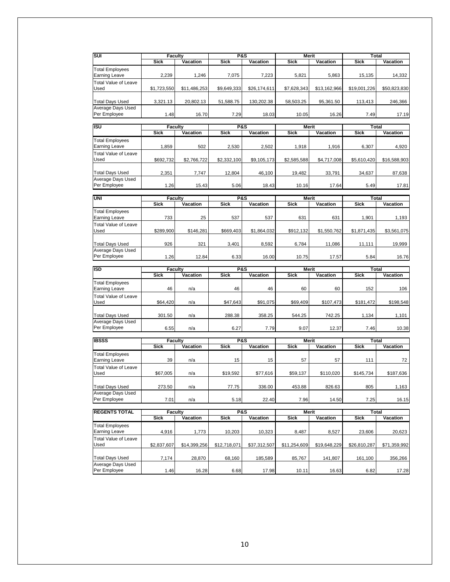| SUI                                            | Faculty        |              | <b>P&amp;S</b> |              | <b>Merit</b> |              | <b>Total</b> |                 |
|------------------------------------------------|----------------|--------------|----------------|--------------|--------------|--------------|--------------|-----------------|
|                                                | <b>Sick</b>    | Vacation     | <b>Sick</b>    | Vacation     | <b>Sick</b>  | Vacation     | <b>Sick</b>  | Vacation        |
|                                                |                |              |                |              |              |              |              |                 |
| <b>Total Employees</b>                         |                |              |                |              |              |              |              |                 |
| <b>Earning Leave</b>                           | 2,239          | 1,246        | 7,075          | 7,223        | 5,821        | 5,863        | 15,135       | 14,332          |
| <b>Total Value of Leave</b>                    |                |              |                |              |              |              |              |                 |
| Used                                           | \$1,723,550    | \$11,486,253 | \$9,649,333    | \$26,174,611 | \$7,628,343  | \$13,162,966 | \$19,001,226 | \$50,823,830    |
|                                                |                |              |                |              |              |              |              |                 |
| <b>Total Days Used</b>                         | 3,321.13       | 20,802.13    | 51,588.75      | 130,202.38   | 58,503.25    | 95,361.50    | 113,413      | 246,366         |
| Average Days Used                              |                |              |                |              |              |              |              |                 |
| Per Employee                                   | 1.48           | 16.70        | 7.29           | 18.03        | 10.05        | 16.26        | 7.49         | 17.19           |
|                                                |                |              |                |              |              |              |              |                 |
| <b>ISU</b>                                     | <b>Faculty</b> |              | <b>P&amp;S</b> |              | Merit        |              | Total        |                 |
|                                                | <b>Sick</b>    | Vacation     | <b>Sick</b>    | Vacation     | <b>Sick</b>  | Vacation     | <b>Sick</b>  | <b>Vacation</b> |
| <b>Total Employees</b>                         |                |              |                |              |              |              |              |                 |
| <b>Earning Leave</b>                           | 1,859          | 502          | 2,530          | 2,502        | 1,918        | 1,916        | 6,307        | 4,920           |
| <b>Total Value of Leave</b>                    |                |              |                |              |              |              |              |                 |
| Used                                           | \$692,732      | \$2,766,722  | \$2,332,100    | \$9,105,173  | \$2,585,588  | \$4,717,008  | \$5,610,420  | \$16,588,903    |
|                                                |                |              |                |              |              |              |              |                 |
| <b>Total Days Used</b>                         | 2,351          | 7,747        | 12,804         | 46,100       | 19,482       | 33,791       | 34,637       | 87,638          |
| Average Days Used                              |                |              |                |              |              |              |              |                 |
| Per Employee                                   | 1.26           | 15.43        | 5.06           | 18.43        | 10.16        | 17.64        | 5.49         | 17.81           |
|                                                |                |              |                |              |              |              |              |                 |
| UNI                                            | Faculty        |              | P&S            |              | Merit        |              | <b>Total</b> |                 |
|                                                | <b>Sick</b>    | Vacation     | <b>Sick</b>    | Vacation     | <b>Sick</b>  | Vacation     | <b>Sick</b>  | Vacation        |
| <b>Total Employees</b>                         |                |              |                |              |              |              |              |                 |
| <b>Earning Leave</b>                           | 733            | 25           | 537            | 537          | 631          | 631          | 1,901        | 1,193           |
|                                                |                |              |                |              |              |              |              |                 |
| <b>Total Value of Leave</b>                    |                |              |                |              |              |              |              |                 |
| Used                                           | \$289.900      | \$146,281    | \$669,403      | \$1,864,032  | \$912,132    | \$1,550,762  | \$1,871,435  | \$3,561,075     |
|                                                |                |              |                |              |              |              |              |                 |
| <b>Total Days Used</b>                         | 926            | 321          | 3,401          | 8,592        | 6,784        | 11,086       | 11,111       | 19,999          |
| Average Days Used                              |                |              |                |              |              |              |              |                 |
| Per Employee                                   | 1.26           | 12.84        | 6.33           | 16.00        | 10.75        | 17.57        | 5.84         | 16.76           |
|                                                |                |              |                |              |              |              |              |                 |
|                                                |                |              |                |              |              |              |              |                 |
| <b>ISD</b>                                     | <b>Faculty</b> |              | <b>P&amp;S</b> |              | Merit        |              | Total        |                 |
|                                                | <b>Sick</b>    | Vacation     | <b>Sick</b>    | Vacation     | <b>Sick</b>  | Vacation     | <b>Sick</b>  | Vacation        |
| Total Employees                                |                |              |                |              |              |              |              |                 |
| <b>Earning Leave</b>                           | 46             | n/a          | 46             | 46           | 60           | 60           | 152          | 106             |
| <b>Total Value of Leave</b>                    |                |              |                |              |              |              |              |                 |
| Used                                           | \$64,420       | n/a          | \$47,643       | \$91,075     | \$69,409     | \$107,473    | \$181,472    |                 |
|                                                |                |              |                |              |              |              |              | \$198,548       |
|                                                |                |              |                |              |              |              |              |                 |
| <b>Total Days Used</b>                         | 301.50         | n/a          | 288.38         | 358.25       | 544.25       | 742.25       | 1,134        | 1,101           |
| Average Days Used                              |                |              |                |              |              |              |              |                 |
| Per Employee                                   | 6.55           | n/a          | 6.27           | 7.79         | 9.07         | 12.37        | 7.46         | 10.38           |
|                                                |                |              |                |              |              |              |              |                 |
| <b>IBSSS</b>                                   | <b>Faculty</b> |              | <b>P&amp;S</b> |              | Merit        |              | <b>Total</b> |                 |
|                                                | <b>Sick</b>    | Vacation     | <b>Sick</b>    | Vacation     | <b>Sick</b>  | Vacation     | <b>Sick</b>  | Vacation        |
| <b>Total Employees</b>                         |                |              |                |              |              |              |              |                 |
| <b>Earning Leave</b>                           | 39             | n/a          | 15             | 15           | 57           | 57           | 111          | 72              |
| <b>Total Value of Leave</b>                    |                |              |                |              |              |              |              |                 |
| Used                                           | \$67,005       | n/a          | \$19,592       | \$77,616     | \$59,137     | \$110.020    | \$145,734    | \$187,636       |
|                                                |                |              |                |              |              |              |              |                 |
| <b>Total Days Used</b>                         | 273.50         | n/a          | 77.75          | 336.00       | 453.88       | 826.63       | 805          | 1,163           |
| Average Days Used                              |                |              |                |              |              |              |              |                 |
| Per Employee                                   | 7.01           | n/a          | 5.18           | 22.40        | 7.96         | 14.50        | 7.25         | 16.15           |
|                                                |                |              |                |              |              |              |              |                 |
|                                                | <b>Faculty</b> |              | <b>P&amp;S</b> |              | <b>Merit</b> |              | <b>Total</b> |                 |
| <b>REGENTS TOTAL</b>                           | Sick           | Vacation     | Sick           | Vacation     | Sick         | Vacation     | Sick         | Vacation        |
|                                                |                |              |                |              |              |              |              |                 |
| <b>Total Employees</b><br><b>Earning Leave</b> |                |              |                |              |              |              |              |                 |
|                                                | 4,916          | 1,773        | 10,203         | 10,323       | 8,487        | 8,527        | 23,606       | 20,623          |
|                                                |                |              |                |              |              |              |              |                 |
| Used                                           | \$2,837,607    | \$14,399,256 | \$12,718,071   | \$37,312,507 | \$11,254,609 | \$19,648,229 | \$26,810,287 | \$71,359,992    |
| <b>Total Value of Leave</b>                    |                |              |                |              |              |              |              |                 |
| <b>Total Days Used</b>                         | 7,174          | 28,870       | 68,160         | 185,589      | 85,767       | 141,807      | 161,100      | 356,266         |
| Average Days Used<br>Per Employee              | 1.46           | 16.28        | 6.68           | 17.98        | 10.11        | 16.63        | 6.82         | 17.28           |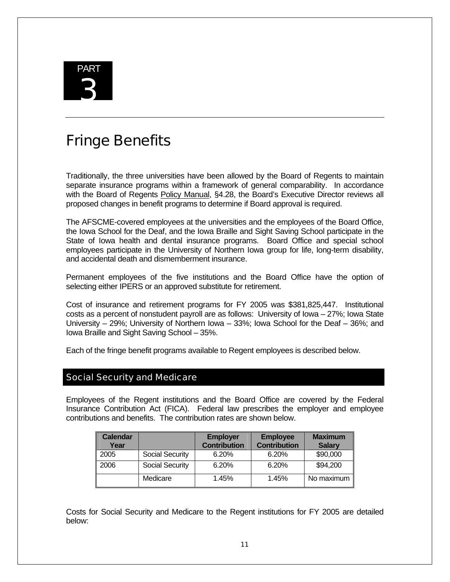

# Fringe Benefits

Traditionally, the three universities have been allowed by the Board of Regents to maintain separate insurance programs within a framework of general comparability. In accordance with the Board of Regents Policy Manual, §4.28, the Board's Executive Director reviews all proposed changes in benefit programs to determine if Board approval is required.

The AFSCME-covered employees at the universities and the employees of the Board Office, the Iowa School for the Deaf, and the Iowa Braille and Sight Saving School participate in the State of Iowa health and dental insurance programs. Board Office and special school employees participate in the University of Northern Iowa group for life, long-term disability, and accidental death and dismemberment insurance.

Permanent employees of the five institutions and the Board Office have the option of selecting either IPERS or an approved substitute for retirement.

Cost of insurance and retirement programs for FY 2005 was \$381,825,447. Institutional costs as a percent of nonstudent payroll are as follows: University of Iowa – 27%; Iowa State University – 29%; University of Northern Iowa – 33%; Iowa School for the Deaf – 36%; and Iowa Braille and Sight Saving School – 35%.

Each of the fringe benefit programs available to Regent employees is described below.

#### Social Security and Medicare

Employees of the Regent institutions and the Board Office are covered by the Federal Insurance Contribution Act (FICA). Federal law prescribes the employer and employee contributions and benefits. The contribution rates are shown below.

| <b>Calendar</b><br>Year |                 | <b>Employer</b><br><b>Contribution</b> | <b>Employee</b><br><b>Contribution</b> | <b>Maximum</b><br><b>Salary</b> |
|-------------------------|-----------------|----------------------------------------|----------------------------------------|---------------------------------|
| 2005                    | Social Security | 6.20%                                  | 6.20%                                  | \$90,000                        |
| 2006                    | Social Security | 6.20%                                  | 6.20%                                  | \$94,200                        |
|                         | Medicare        | 1.45%                                  | 1.45%                                  | No maximum                      |

Costs for Social Security and Medicare to the Regent institutions for FY 2005 are detailed below: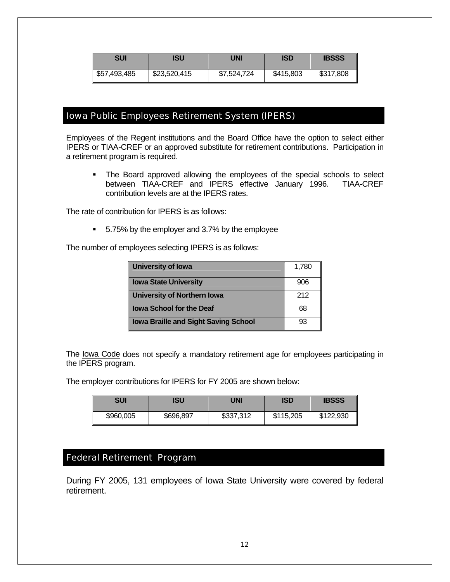| SUI          | ISU          | UNI         | <b>ISD</b> | <b>IBSSS</b> |
|--------------|--------------|-------------|------------|--------------|
| \$57,493,485 | \$23,520,415 | \$7,524,724 | \$415,803  | \$317,808    |

#### Iowa Public Employees Retirement System (IPERS)

Employees of the Regent institutions and the Board Office have the option to select either IPERS or TIAA-CREF or an approved substitute for retirement contributions. Participation in a retirement program is required.

• The Board approved allowing the employees of the special schools to select between TIAA-CREF and IPERS effective January 1996. TIAA-CREF contribution levels are at the IPERS rates.

The rate of contribution for IPERS is as follows:

■ 5.75% by the employer and 3.7% by the employee

The number of employees selecting IPERS is as follows:

| University of lowa                          | 1,780 |
|---------------------------------------------|-------|
| <b>Iowa State University</b>                | 906   |
| University of Northern Iowa                 | 212   |
| <b>Iowa School for the Deaf</b>             | 68    |
| <b>Iowa Braille and Sight Saving School</b> | 93    |

The lowa Code does not specify a mandatory retirement age for employees participating in the IPERS program.

The employer contributions for IPERS for FY 2005 are shown below:

| SUI       | ISU       | UNI       | <b>ISD</b> | <b>IBSSS</b> |
|-----------|-----------|-----------|------------|--------------|
| \$960,005 | \$696,897 | \$337,312 | \$115,205  | \$122,930    |

# Federal Retirement Program

During FY 2005, 131 employees of Iowa State University were covered by federal retirement.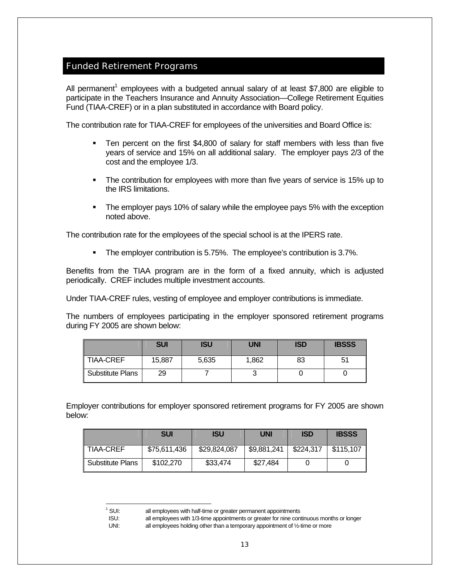#### Funded Retirement Programs

All permanent<sup>1</sup> employees with a budgeted annual salary of at least \$7,800 are eligible to participate in the Teachers Insurance and Annuity Association—College Retirement Equities Fund (TIAA-CREF) or in a plan substituted in accordance with Board policy.

The contribution rate for TIAA-CREF for employees of the universities and Board Office is:

- Ten percent on the first \$4,800 of salary for staff members with less than five years of service and 15% on all additional salary. The employer pays 2/3 of the cost and the employee 1/3.
- The contribution for employees with more than five years of service is 15% up to the IRS limitations.
- The employer pays 10% of salary while the employee pays 5% with the exception noted above.

The contribution rate for the employees of the special school is at the IPERS rate.

**The employer contribution is 5.75%. The employee's contribution is 3.7%.** 

Benefits from the TIAA program are in the form of a fixed annuity, which is adjusted periodically. CREF includes multiple investment accounts.

Under TIAA-CREF rules, vesting of employee and employer contributions is immediate.

The numbers of employees participating in the employer sponsored retirement programs during FY 2005 are shown below:

|                  | <b>SUI</b> | <b>ISU</b> | <b>UNI</b> | <b>ISD</b> | <b>IBSSS</b> |
|------------------|------------|------------|------------|------------|--------------|
| <b>TIAA-CREF</b> | 15,887     | 5,635      | 1,862      | 83         | 51           |
| Substitute Plans | 29         |            | ີ          |            |              |

Employer contributions for employer sponsored retirement programs for FY 2005 are shown below:

|                  | <b>SUI</b>   | ISU          | UNI         | <b>ISD</b> | <b>IBSSS</b> |
|------------------|--------------|--------------|-------------|------------|--------------|
| <b>TIAA-CREF</b> | \$75,611,436 | \$29,824,087 | \$9,881,241 | \$224,317  | \$115,107    |
| Substitute Plans | \$102,270    | \$33,474     | \$27,484    |            |              |

-

 $1$  SUI: all employees with half-time or greater permanent appointments

ISU: all employees with 1/3-time appointments or greater for nine continuous months or longer

UNI: all employees holding other than a temporary appointment of 1/2-time or more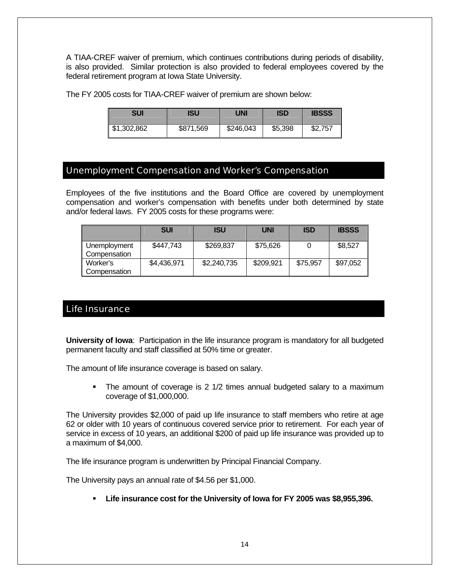A TIAA-CREF waiver of premium, which continues contributions during periods of disability, is also provided. Similar protection is also provided to federal employees covered by the federal retirement program at Iowa State University.

The FY 2005 costs for TIAA-CREF waiver of premium are shown below:

| SUI         | ISU       | UNI       | <b>ISD</b> | <b>IBSSS</b> |
|-------------|-----------|-----------|------------|--------------|
| \$1,302,862 | \$871,569 | \$246,043 | \$5,398    | \$2,757      |

#### Unemployment Compensation and Worker's Compensation

Employees of the five institutions and the Board Office are covered by unemployment compensation and worker's compensation with benefits under both determined by state and/or federal laws. FY 2005 costs for these programs were:

|                              | <b>SUI</b>  | <b>ISU</b>  | <b>UNI</b> | <b>ISD</b> | <b>IBSSS</b> |
|------------------------------|-------------|-------------|------------|------------|--------------|
| Unemployment<br>Compensation | \$447.743   | \$269,837   | \$75,626   |            | \$8,527      |
| Worker's<br>Compensation     | \$4,436,971 | \$2,240,735 | \$209,921  | \$75,957   | \$97,052     |

## Life Insurance

**University of Iowa**: Participation in the life insurance program is mandatory for all budgeted permanent faculty and staff classified at 50% time or greater.

The amount of life insurance coverage is based on salary.

• The amount of coverage is 2 1/2 times annual budgeted salary to a maximum coverage of \$1,000,000.

The University provides \$2,000 of paid up life insurance to staff members who retire at age 62 or older with 10 years of continuous covered service prior to retirement. For each year of service in excess of 10 years, an additional \$200 of paid up life insurance was provided up to a maximum of \$4,000.

The life insurance program is underwritten by Principal Financial Company.

The University pays an annual rate of \$4.56 per \$1,000.

**Life insurance cost for the University of Iowa for FY 2005 was \$8,955,396.**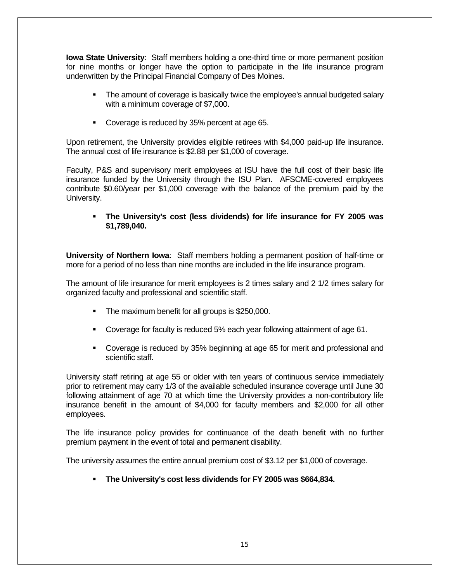**Iowa State University**: Staff members holding a one-third time or more permanent position for nine months or longer have the option to participate in the life insurance program underwritten by the Principal Financial Company of Des Moines.

- The amount of coverage is basically twice the employee's annual budgeted salary with a minimum coverage of \$7,000.
- Coverage is reduced by 35% percent at age 65.

Upon retirement, the University provides eligible retirees with \$4,000 paid-up life insurance. The annual cost of life insurance is \$2.88 per \$1,000 of coverage.

Faculty, P&S and supervisory merit employees at ISU have the full cost of their basic life insurance funded by the University through the ISU Plan. AFSCME-covered employees contribute \$0.60/year per \$1,000 coverage with the balance of the premium paid by the University.

#### **The University's cost (less dividends) for life insurance for FY 2005 was \$1,789,040.**

**University of Northern Iowa**: Staff members holding a permanent position of half-time or more for a period of no less than nine months are included in the life insurance program.

The amount of life insurance for merit employees is 2 times salary and 2 1/2 times salary for organized faculty and professional and scientific staff.

- **The maximum benefit for all groups is \$250,000.**
- Coverage for faculty is reduced 5% each year following attainment of age 61.
- Coverage is reduced by 35% beginning at age 65 for merit and professional and scientific staff.

University staff retiring at age 55 or older with ten years of continuous service immediately prior to retirement may carry 1/3 of the available scheduled insurance coverage until June 30 following attainment of age 70 at which time the University provides a non-contributory life insurance benefit in the amount of \$4,000 for faculty members and \$2,000 for all other employees.

The life insurance policy provides for continuance of the death benefit with no further premium payment in the event of total and permanent disability.

The university assumes the entire annual premium cost of \$3.12 per \$1,000 of coverage.

**The University's cost less dividends for FY 2005 was \$664,834.**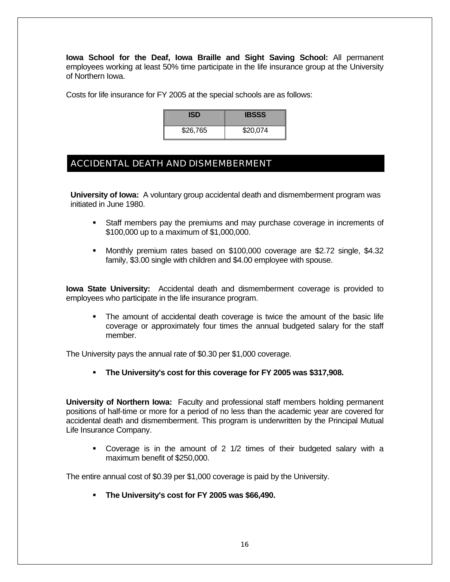**Iowa School for the Deaf, Iowa Braille and Sight Saving School:** All permanent employees working at least 50% time participate in the life insurance group at the University of Northern Iowa.

Costs for life insurance for FY 2005 at the special schools are as follows:

| ISD      | <b>IBSSS</b> |
|----------|--------------|
| \$26,765 | \$20,074     |

## ACCIDENTAL DEATH AND DISMEMBERMENT

**University of Iowa:** A voluntary group accidental death and dismemberment program was initiated in June 1980.

- Staff members pay the premiums and may purchase coverage in increments of \$100,000 up to a maximum of \$1,000,000.
- Monthly premium rates based on \$100,000 coverage are \$2.72 single, \$4.32 family, \$3.00 single with children and \$4.00 employee with spouse.

**Iowa State University:** Accidental death and dismemberment coverage is provided to employees who participate in the life insurance program.

 The amount of accidental death coverage is twice the amount of the basic life coverage or approximately four times the annual budgeted salary for the staff member.

The University pays the annual rate of \$0.30 per \$1,000 coverage.

**The University's cost for this coverage for FY 2005 was \$317,908.** 

**University of Northern Iowa:** Faculty and professional staff members holding permanent positions of half-time or more for a period of no less than the academic year are covered for accidental death and dismemberment. This program is underwritten by the Principal Mutual Life Insurance Company.

 Coverage is in the amount of 2 1/2 times of their budgeted salary with a maximum benefit of \$250,000.

The entire annual cost of \$0.39 per \$1,000 coverage is paid by the University.

**The University's cost for FY 2005 was \$66,490.**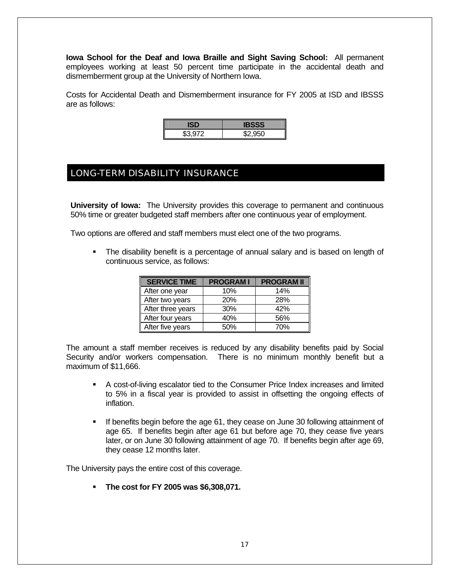**Iowa School for the Deaf and Iowa Braille and Sight Saving School:** All permanent employees working at least 50 percent time participate in the accidental death and dismemberment group at the University of Northern Iowa.

Costs for Accidental Death and Dismemberment insurance for FY 2005 at ISD and IBSSS are as follows:

| <b>\$3.972</b> | $\sim$ $\sim$ $\sim$ $\sim$ |
|----------------|-----------------------------|

# LONG-TERM DISABILITY INSURANCE

**University of Iowa:** The University provides this coverage to permanent and continuous 50% time or greater budgeted staff members after one continuous year of employment.

Two options are offered and staff members must elect one of the two programs.

 The disability benefit is a percentage of annual salary and is based on length of continuous service, as follows:

| <b>SERVICE TIME</b> | <b>PROGRAMI</b> | <b>PROGRAM II</b> |
|---------------------|-----------------|-------------------|
| After one year      | 10%             | 14%               |
| After two years     | <b>20%</b>      | 28%               |
| After three years   | 30%             | 42%               |
| After four years    | 40%             | 56%               |
| After five years    | 50%             | 70%               |

The amount a staff member receives is reduced by any disability benefits paid by Social Security and/or workers compensation. There is no minimum monthly benefit but a maximum of \$11,666.

- A cost-of-living escalator tied to the Consumer Price Index increases and limited to 5% in a fiscal year is provided to assist in offsetting the ongoing effects of inflation.
- If benefits begin before the age 61, they cease on June 30 following attainment of age 65. If benefits begin after age 61 but before age 70, they cease five years later, or on June 30 following attainment of age 70. If benefits begin after age 69, they cease 12 months later.

The University pays the entire cost of this coverage.

**The cost for FY 2005 was \$6,308,071.**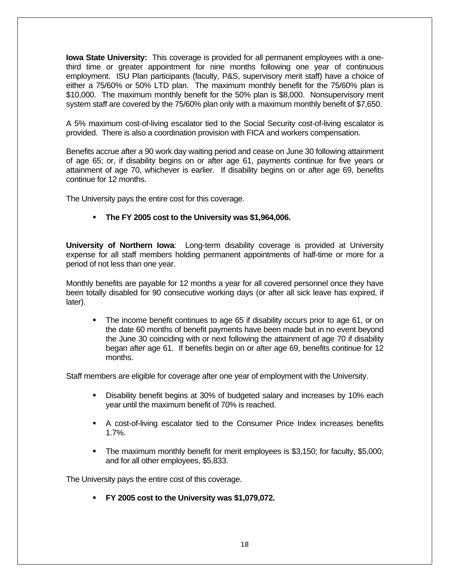**Iowa State University:** This coverage is provided for all permanent employees with a onethird time or greater appointment for nine months following one year of continuous employment. ISU Plan participants (faculty, P&S, supervisory merit staff) have a choice of either a 75/60% or 50% LTD plan. The maximum monthly benefit for the 75/60% plan is \$10,000. The maximum monthly benefit for the 50% plan is \$8,000. Nonsupervisory merit system staff are covered by the 75/60% plan only with a maximum monthly benefit of \$7,650.

A 5% maximum cost-of-living escalator tied to the Social Security cost-of-living escalator is provided. There is also a coordination provision with FICA and workers compensation.

Benefits accrue after a 90 work day waiting period and cease on June 30 following attainment of age 65; or, if disability begins on or after age 61, payments continue for five years or attainment of age 70, whichever is earlier. If disability begins on or after age 69, benefits continue for 12 months.

The University pays the entire cost for this coverage.

#### **The FY 2005 cost to the University was \$1,964,006.**

**University of Northern Iowa**: Long-term disability coverage is provided at University expense for all staff members holding permanent appointments of half-time or more for a period of not less than one year.

Monthly benefits are payable for 12 months a year for all covered personnel once they have been totally disabled for 90 consecutive working days (or after all sick leave has expired, if later).

 The income benefit continues to age 65 if disability occurs prior to age 61, or on the date 60 months of benefit payments have been made but in no event beyond the June 30 coinciding with or next following the attainment of age 70 if disability began after age 61. If benefits begin on or after age 69, benefits continue for 12 months.

Staff members are eligible for coverage after one year of employment with the University.

- Disability benefit begins at 30% of budgeted salary and increases by 10% each year until the maximum benefit of 70% is reached.
- A cost-of-living escalator tied to the Consumer Price Index increases benefits 1.7%.
- The maximum monthly benefit for merit employees is \$3,150; for faculty, \$5,000; and for all other employees, \$5,833.

The University pays the entire cost of this coverage.

**FY 2005 cost to the University was \$1,079,072.**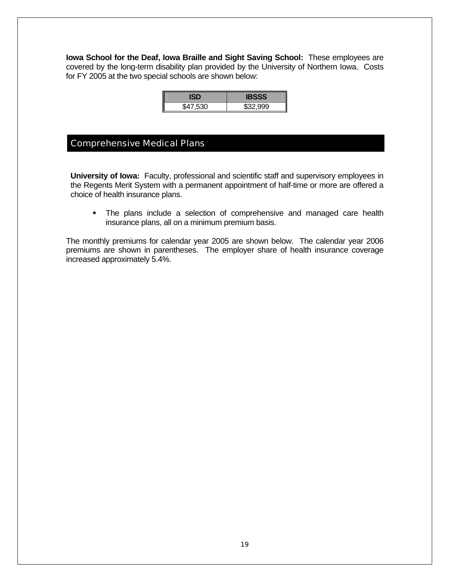**Iowa School for the Deaf, Iowa Braille and Sight Saving School:** These employees are covered by the long-term disability plan provided by the University of Northern Iowa. Costs for FY 2005 at the two special schools are shown below:

|          | 92          |
|----------|-------------|
| \$47,530 | $$32$ $000$ |

#### Comprehensive Medical Plans

**University of Iowa:** Faculty, professional and scientific staff and supervisory employees in the Regents Merit System with a permanent appointment of half-time or more are offered a choice of health insurance plans.

 The plans include a selection of comprehensive and managed care health insurance plans, all on a minimum premium basis.

The monthly premiums for calendar year 2005 are shown below. The calendar year 2006 premiums are shown in parentheses. The employer share of health insurance coverage increased approximately 5.4%.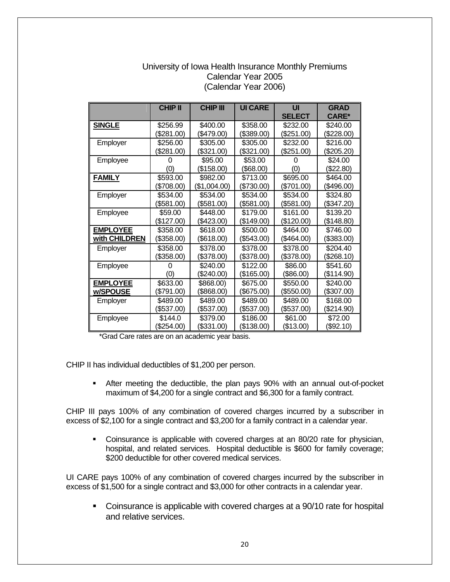#### University of Iowa Health Insurance Monthly Premiums Calendar Year 2005 (Calendar Year 2006)

|                 | <b>CHIP II</b> | <b>CHIP III</b> | <b>UI CARE</b> | UI<br><b>SELECT</b> | <b>GRAD</b><br><b>CARE*</b> |
|-----------------|----------------|-----------------|----------------|---------------------|-----------------------------|
| <b>SINGLE</b>   | \$256.99       | \$400.00        | \$358.00       | \$232.00            | \$240.00                    |
|                 | \$281.00       | (\$479.00)      | \$389.00)      | (\$251.00)          | (\$228.00)                  |
| Employer        | \$256.00       | \$305.00        | \$305.00       | \$232.00            | \$216.00                    |
|                 | (\$281.00)     | (\$321.00)      | \$321.00       | (\$251.00)          | (\$205.20)                  |
| Employee        | O              | \$95.00         | \$53.00        | O                   | \$24.00                     |
|                 | (0)            | (\$158.00)      | (\$68.00)      | (0)                 | (\$22.80)                   |
| <b>FAMILY</b>   | \$593.00       | \$982.00        | \$713.00       | \$695.00            | \$464.00                    |
|                 | (\$708.00)     | (\$1,004.00)    | (\$730.00)     | (\$701.00)          | (\$496.00)                  |
| Employer        | \$534.00       | \$534.00        | \$534.00       | \$534.00            | \$324.80                    |
|                 | (\$581.00)     | (\$581.00)      | (\$581.00)     | (\$581.00)          | (\$347.20)                  |
| Employee        | \$59.00        | \$448.00        | \$179.00       | \$161.00            | \$139.20                    |
|                 | (\$127.00)     | (\$423.00)      | (\$149.00)     | (\$120.00)          | (\$148.80)                  |
| <b>EMPLOYEE</b> | \$358.00       | \$618.00        | \$500.00       | \$464.00            | \$746.00                    |
| with CHILDREN   | (\$358.00)     | (\$618.00)      | (\$543.00)     | (\$464.00)          | (\$383.00)                  |
| Employer        | \$358.00       | \$378.00        | \$378.00       | \$378.00            | \$204.40                    |
|                 | (\$358.00)     | (\$378.00)      | (\$378.00)     | (\$378.00)          | (\$268.10)                  |
| Employee        | 0              | \$240.00        | \$122.00       | \$86.00             | \$541.60                    |
|                 | (0)            | (\$240.00)      | (\$165.00)     | (\$86.00)           | (\$114.90)                  |
| <b>EMPLOYEE</b> | \$633.00       | \$868.00)       | \$675.00       | \$550.00            | \$240.00                    |
| w/SPOUSE        | (\$791.00)     | (\$868.00)      | (\$675.00)     | (\$550.00)          | (\$307.00)                  |
| Employer        | \$489.00       | \$489.00        | \$489.00       | \$489.00            | \$168.00                    |
|                 | (\$537.00)     | (\$537.00)      | (\$537.00)     | (\$537.00)          | (\$214.90)                  |
| Employee        | \$144.0        | \$379.00        | \$186.00       | \$61.00             | \$72.00                     |
|                 | (\$254.00)     | (\$331.00)      | \$138.00       | (\$13.00)           | (\$92.10)                   |

\*Grad Care rates are on an academic year basis.

CHIP II has individual deductibles of \$1,200 per person.

 After meeting the deductible, the plan pays 90% with an annual out-of-pocket maximum of \$4,200 for a single contract and \$6,300 for a family contract.

CHIP III pays 100% of any combination of covered charges incurred by a subscriber in excess of \$2,100 for a single contract and \$3,200 for a family contract in a calendar year.

 Coinsurance is applicable with covered charges at an 80/20 rate for physician, hospital, and related services. Hospital deductible is \$600 for family coverage; \$200 deductible for other covered medical services.

UI CARE pays 100% of any combination of covered charges incurred by the subscriber in excess of \$1,500 for a single contract and \$3,000 for other contracts in a calendar year.

• Coinsurance is applicable with covered charges at a 90/10 rate for hospital and relative services.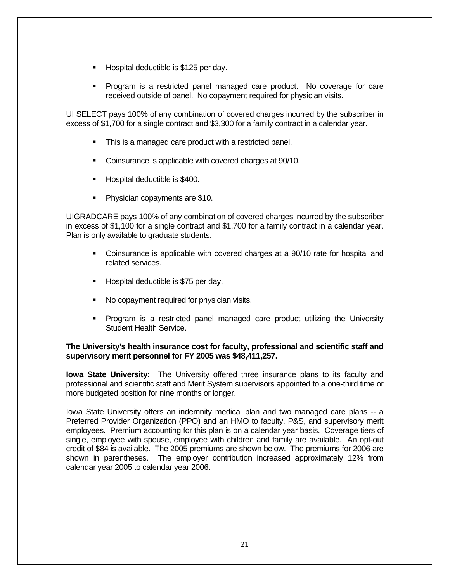- Hospital deductible is \$125 per day.
- Program is a restricted panel managed care product. No coverage for care received outside of panel. No copayment required for physician visits.

UI SELECT pays 100% of any combination of covered charges incurred by the subscriber in excess of \$1,700 for a single contract and \$3,300 for a family contract in a calendar year.

- This is a managed care product with a restricted panel.
- Coinsurance is applicable with covered charges at 90/10.
- **Hospital deductible is \$400.**
- **Physician copayments are \$10.**

UIGRADCARE pays 100% of any combination of covered charges incurred by the subscriber in excess of \$1,100 for a single contract and \$1,700 for a family contract in a calendar year. Plan is only available to graduate students.

- Coinsurance is applicable with covered charges at a 90/10 rate for hospital and related services.
- **Hospital deductible is \$75 per day.**
- No copayment required for physician visits.
- Program is a restricted panel managed care product utilizing the University Student Health Service.

#### **The University's health insurance cost for faculty, professional and scientific staff and supervisory merit personnel for FY 2005 was \$48,411,257.**

**Iowa State University:** The University offered three insurance plans to its faculty and professional and scientific staff and Merit System supervisors appointed to a one-third time or more budgeted position for nine months or longer.

Iowa State University offers an indemnity medical plan and two managed care plans -- a Preferred Provider Organization (PPO) and an HMO to faculty, P&S, and supervisory merit employees. Premium accounting for this plan is on a calendar year basis. Coverage tiers of single, employee with spouse, employee with children and family are available. An opt-out credit of \$84 is available. The 2005 premiums are shown below. The premiums for 2006 are shown in parentheses. The employer contribution increased approximately 12% from calendar year 2005 to calendar year 2006.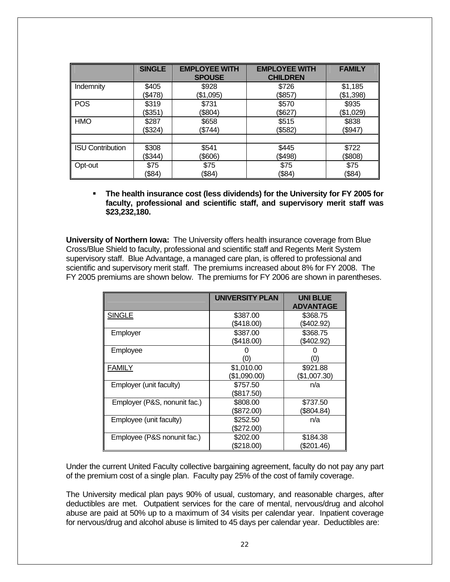|                         | <b>SINGLE</b> | <b>EMPLOYEE WITH</b><br><b>SPOUSE</b> | <b>EMPLOYEE WITH</b><br><b>CHILDREN</b> | <b>FAMILY</b> |
|-------------------------|---------------|---------------------------------------|-----------------------------------------|---------------|
| Indemnity               | \$405         | \$928                                 | \$726                                   | \$1,185       |
|                         | (\$478)       | (\$1,095)                             | (\$857)                                 | (\$1,398)     |
| <b>POS</b>              | \$319         | \$731                                 | \$570                                   | \$935         |
|                         | (\$351)       | (\$804)                               | (\$627)                                 | (\$1,029)     |
| <b>HMO</b>              | \$287         | \$658                                 | \$515                                   | \$838         |
|                         | (\$324)       | (\$744)                               | (\$582)                                 | (\$947)       |
| <b>ISU Contribution</b> | \$308         | \$541                                 | \$445                                   | \$722         |
|                         | (\$344)       | (\$606)                               | (\$498)                                 | (\$808)       |
| Opt-out                 | \$75          | \$75                                  | \$75                                    | \$75          |
|                         | (\$84)        | (\$84)                                | (\$84)                                  | (\$84)        |

 **The health insurance cost (less dividends) for the University for FY 2005 for faculty, professional and scientific staff, and supervisory merit staff was \$23,232,180.** 

**University of Northern Iowa:** The University offers health insurance coverage from Blue Cross/Blue Shield to faculty, professional and scientific staff and Regents Merit System supervisory staff. Blue Advantage, a managed care plan, is offered to professional and scientific and supervisory merit staff. The premiums increased about 8% for FY 2008. The FY 2005 premiums are shown below. The premiums for FY 2006 are shown in parentheses.

|                              | UNIVERSITY PLAN | <b>UNI BLUE</b><br><b>ADVANTAGE</b> |
|------------------------------|-----------------|-------------------------------------|
| <b>SINGLE</b>                | \$387.00        | \$368.75                            |
|                              | (\$418.00)      | (\$402.92)                          |
| Employer                     | \$387.00        | \$368.75                            |
|                              | (\$418.00)      | (\$402.92)                          |
| Employee                     |                 |                                     |
|                              | (0)             | 'O)                                 |
| FAMILY                       | \$1,010.00      | \$921.88                            |
|                              | (\$1,090.00)    | (\$1,007.30)                        |
| Employer (unit faculty)      | \$757.50        | n/a                                 |
|                              | (\$817.50)      |                                     |
| Employer (P&S, nonunit fac.) | \$808.00        | \$737.50                            |
|                              | (\$872.00)      | (\$804.84)                          |
| Employee (unit faculty)      | \$252.50        | n/a                                 |
|                              | (\$272.00)      |                                     |
| Employee (P&S nonunit fac.)  | \$202.00        | \$184.38                            |
|                              | \$218.00        | (\$201.46)                          |

Under the current United Faculty collective bargaining agreement, faculty do not pay any part of the premium cost of a single plan. Faculty pay 25% of the cost of family coverage.

The University medical plan pays 90% of usual, customary, and reasonable charges, after deductibles are met. Outpatient services for the care of mental, nervous/drug and alcohol abuse are paid at 50% up to a maximum of 34 visits per calendar year. Inpatient coverage for nervous/drug and alcohol abuse is limited to 45 days per calendar year. Deductibles are: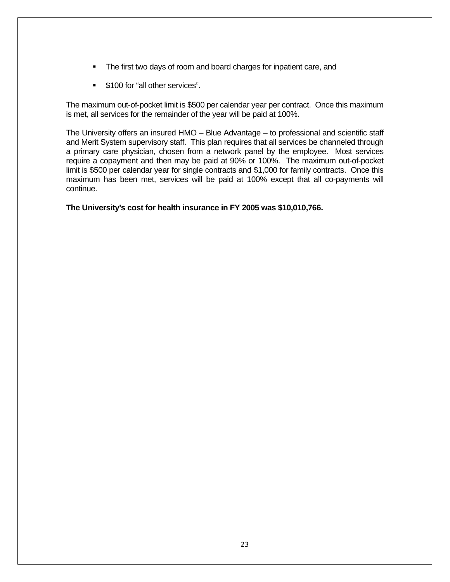- The first two days of room and board charges for inpatient care, and
- **\$100 for "all other services".**

The maximum out-of-pocket limit is \$500 per calendar year per contract. Once this maximum is met, all services for the remainder of the year will be paid at 100%.

The University offers an insured HMO – Blue Advantage – to professional and scientific staff and Merit System supervisory staff. This plan requires that all services be channeled through a primary care physician, chosen from a network panel by the employee. Most services require a copayment and then may be paid at 90% or 100%. The maximum out-of-pocket limit is \$500 per calendar year for single contracts and \$1,000 for family contracts. Once this maximum has been met, services will be paid at 100% except that all co-payments will continue.

#### **The University's cost for health insurance in FY 2005 was \$10,010,766.**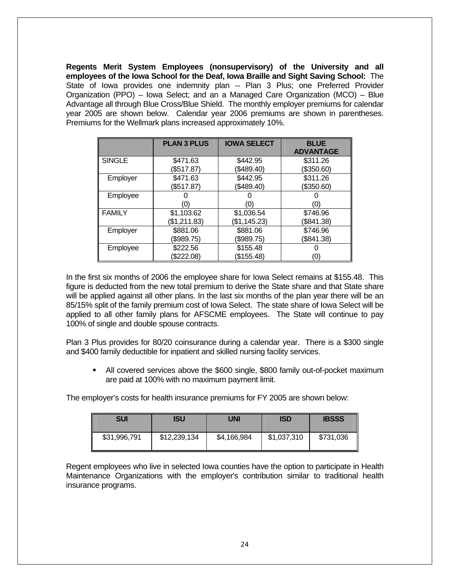**Regents Merit System Employees (nonsupervisory) of the University and all employees of the Iowa School for the Deaf, Iowa Braille and Sight Saving School:** The State of Iowa provides one indemnity plan -- Plan 3 Plus; one Preferred Provider Organization (PPO) – Iowa Select; and an a Managed Care Organization (MCO) – Blue Advantage all through Blue Cross/Blue Shield. The monthly employer premiums for calendar year 2005 are shown below. Calendar year 2006 premiums are shown in parentheses. Premiums for the Wellmark plans increased approximately 10%.

|               | <b>PLAN 3 PLUS</b> | <b>IOWA SELECT</b> | <b>BLUE</b><br><b>ADVANTAGE</b> |
|---------------|--------------------|--------------------|---------------------------------|
| <b>SINGLE</b> | \$471.63           | \$442.95           | \$311.26                        |
|               | (\$517.87)         | \$489.40           | (\$350.60)                      |
| Employer      | \$471.63           | \$442.95           | \$311.26                        |
|               | (\$517.87)         | \$489.40           | (\$350.60)                      |
| Employee      |                    |                    |                                 |
|               | (0)                | (0)                | (0)                             |
| <b>FAMILY</b> | \$1,103.62         | \$1,036.54         | \$746.96                        |
|               | (\$1,211.83)       | (\$1,145.23)       | (\$841.38)                      |
| Employer      | \$881.06           | \$881.06           | \$746.96                        |
|               | (\$989.75)         | (\$989.75)         | (\$841.38)                      |
| Employee      | \$222.56           | \$155.48           |                                 |
|               | \$222.08           | \$155.48           | (0)                             |

In the first six months of 2006 the employee share for Iowa Select remains at \$155.48. This figure is deducted from the new total premium to derive the State share and that State share will be applied against all other plans. In the last six months of the plan year there will be an 85/15% split of the family premium cost of Iowa Select. The state share of Iowa Select will be applied to all other family plans for AFSCME employees. The State will continue to pay 100% of single and double spouse contracts.

Plan 3 Plus provides for 80/20 coinsurance during a calendar year. There is a \$300 single and \$400 family deductible for inpatient and skilled nursing facility services.

 All covered services above the \$600 single, \$800 family out-of-pocket maximum are paid at 100% with no maximum payment limit.

The employer's costs for health insurance premiums for FY 2005 are shown below:

| <b>SUI</b>   | ISU          | UNI         | <b>ISD</b>  | <b>IBSSS</b> |
|--------------|--------------|-------------|-------------|--------------|
| \$31,996,791 | \$12,239,134 | \$4,166,984 | \$1,037,310 | \$731,036    |

Regent employees who live in selected Iowa counties have the option to participate in Health Maintenance Organizations with the employer's contribution similar to traditional health insurance programs.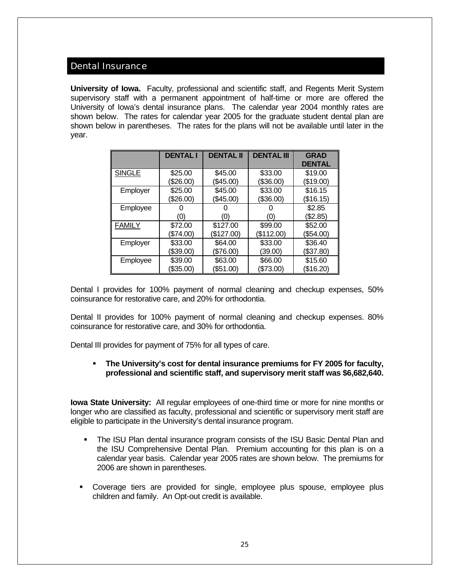#### Dental Insurance

**University of Iowa.** Faculty, professional and scientific staff, and Regents Merit System supervisory staff with a permanent appointment of half-time or more are offered the University of Iowa's dental insurance plans. The calendar year 2004 monthly rates are shown below. The rates for calendar year 2005 for the graduate student dental plan are shown below in parentheses. The rates for the plans will not be available until later in the year.

|               | <b>DENTAL I</b> | <b>DENTAL II</b> | <b>DENTAL III</b> | <b>GRAD</b><br><b>DENTAL</b> |
|---------------|-----------------|------------------|-------------------|------------------------------|
| <b>SINGLE</b> | \$25.00         | \$45.00          | \$33.00           | \$19.00                      |
|               | (\$26.00)       | (\$45.00)        | (\$36.00)         | (\$19.00)                    |
| Employer      | \$25.00         | \$45.00          | \$33.00           | \$16.15                      |
|               | (\$26.00)       | (\$45.00)        | \$36.00           | (\$16.15)                    |
| Employee      |                 |                  |                   | \$2.85                       |
|               | (0)             | O)               | (0)               | (\$2.85)                     |
| <b>FAMILY</b> | \$72.00         | \$127.00         | \$99.00           | \$52.00                      |
|               | (\$74.00)       | (\$127.00)       | \$112.00          | (\$54.00)                    |
| Employer      | \$33.00         | \$64.00          | \$33.00           | \$36.40                      |
|               | (\$39.00)       | (\$76.00)        | (39.00)           | (\$37.80)                    |
| Employee      | \$39.00         | \$63.00          | \$66.00           | \$15.60                      |
|               | (\$35.00)       | (\$51.00)        | \$73.00           | (\$16.20)                    |

Dental I provides for 100% payment of normal cleaning and checkup expenses, 50% coinsurance for restorative care, and 20% for orthodontia.

Dental II provides for 100% payment of normal cleaning and checkup expenses. 80% coinsurance for restorative care, and 30% for orthodontia.

Dental III provides for payment of 75% for all types of care.

#### **The University's cost for dental insurance premiums for FY 2005 for faculty, professional and scientific staff, and supervisory merit staff was \$6,682,640.**

**Iowa State University:** All regular employees of one-third time or more for nine months or longer who are classified as faculty, professional and scientific or supervisory merit staff are eligible to participate in the University's dental insurance program.

- The ISU Plan dental insurance program consists of the ISU Basic Dental Plan and the ISU Comprehensive Dental Plan. Premium accounting for this plan is on a calendar year basis. Calendar year 2005 rates are shown below. The premiums for 2006 are shown in parentheses.
- Coverage tiers are provided for single, employee plus spouse, employee plus children and family. An Opt-out credit is available.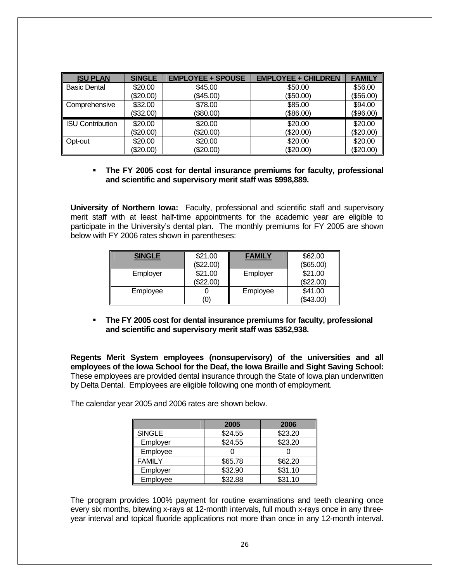| <b>ISU PLAN</b>        | <b>SINGLE</b> | <b>EMPLOYEE + SPOUSE</b> | <b>EMPLOYEE + CHILDREN</b> | <b>FAMILY</b> |
|------------------------|---------------|--------------------------|----------------------------|---------------|
| <b>Basic Dental</b>    | \$20.00       | \$45.00                  | \$50.00                    | \$56.00       |
|                        | (\$20.00)     | (\$45.00)                | (\$50.00)                  | (\$56.00)     |
| Comprehensive          | \$32.00       | \$78.00                  | \$85.00                    | \$94.00       |
|                        | (\$32.00)     | (\$80.00)                | (\$86.00)                  | (\$96.00)     |
| ISU Contribution       | \$20.00       | \$20.00                  | \$20.00                    | \$20.00       |
|                        | (\$20.00)     | (\$20.00)                | (\$20.00)                  | (\$20.00)     |
| $\blacksquare$ Opt-out | \$20.00       | \$20.00                  | \$20.00                    | \$20.00       |
|                        | (\$20.00)     | (\$20.00)                | (\$20.00)                  | (\$20.00)     |

#### **The FY 2005 cost for dental insurance premiums for faculty, professional and scientific and supervisory merit staff was \$998,889.**

**University of Northern Iowa:** Faculty, professional and scientific staff and supervisory merit staff with at least half-time appointments for the academic year are eligible to participate in the University's dental plan. The monthly premiums for FY 2005 are shown below with FY 2006 rates shown in parentheses:

| <b>SINGLE</b> | \$21.00<br>(\$22.00) | <b>FAMILY</b> | \$62.00<br>(\$65.00) |
|---------------|----------------------|---------------|----------------------|
| Employer      | \$21.00<br>\$22.00   | Employer      | \$21.00<br>(\$22.00) |
| Employee      | ω)                   | Employee      | \$41.00<br>(\$43.00) |

 **The FY 2005 cost for dental insurance premiums for faculty, professional and scientific and supervisory merit staff was \$352,938.** 

**Regents Merit System employees (nonsupervisory) of the universities and all employees of the Iowa School for the Deaf, the Iowa Braille and Sight Saving School:**  These employees are provided dental insurance through the State of Iowa plan underwritten by Delta Dental. Employees are eligible following one month of employment.

The calendar year 2005 and 2006 rates are shown below.

|               | 2005    | 2006    |
|---------------|---------|---------|
| <b>SINGLE</b> | \$24.55 | \$23.20 |
| Employer      | \$24.55 | \$23.20 |
| Employee      |         |         |
| FAMILY        | \$65.78 | \$62.20 |
| Employer      | \$32.90 | \$31.10 |
| Employee      | \$32.88 | \$31.10 |

The program provides 100% payment for routine examinations and teeth cleaning once every six months, bitewing x-rays at 12-month intervals, full mouth x-rays once in any threeyear interval and topical fluoride applications not more than once in any 12-month interval.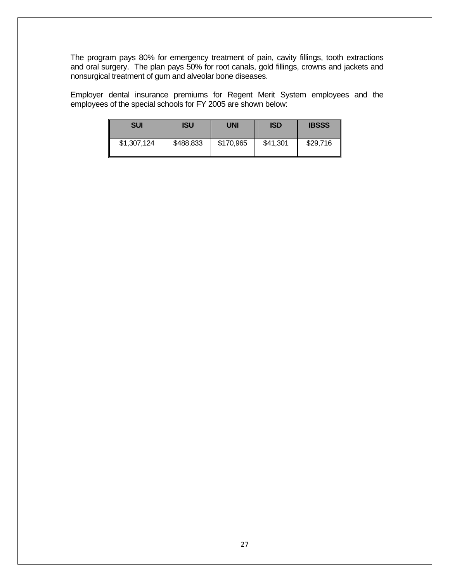The program pays 80% for emergency treatment of pain, cavity fillings, tooth extractions and oral surgery. The plan pays 50% for root canals, gold fillings, crowns and jackets and nonsurgical treatment of gum and alveolar bone diseases.

Employer dental insurance premiums for Regent Merit System employees and the employees of the special schools for FY 2005 are shown below:

| <b>SUI</b>  | ISU       | <b>UNI</b> | <b>ISD</b> | <b>IBSSS</b> |
|-------------|-----------|------------|------------|--------------|
| \$1,307,124 | \$488,833 | \$170,965  | \$41,301   | \$29,716     |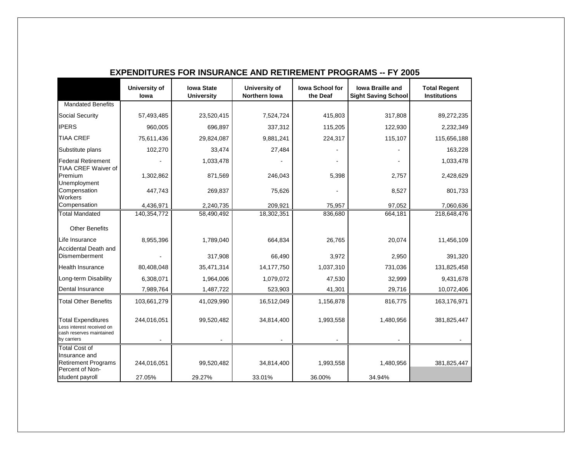|                                                                                                  | University of<br>lowa | <b>Iowa State</b><br><b>University</b> | University of<br>Northern Iowa | lowa School for<br>the Deaf | <b>Iowa Braille and</b><br><b>Sight Saving School</b> | <b>Total Regent</b><br><b>Institutions</b> |
|--------------------------------------------------------------------------------------------------|-----------------------|----------------------------------------|--------------------------------|-----------------------------|-------------------------------------------------------|--------------------------------------------|
| <b>Mandated Benefits</b>                                                                         |                       |                                        |                                |                             |                                                       |                                            |
| <b>Social Security</b>                                                                           | 57,493,485            | 23,520,415                             | 7,524,724                      | 415,803                     | 317,808                                               | 89,272,235                                 |
| <b>IPERS</b>                                                                                     | 960,005               | 696,897                                | 337,312                        | 115,205                     | 122,930                                               | 2,232,349                                  |
| <b>TIAA CREF</b>                                                                                 | 75,611,436            | 29,824,087                             | 9,881,241                      | 224,317                     | 115,107                                               | 115,656,188                                |
| Substitute plans                                                                                 | 102,270               | 33,474                                 | 27,484                         |                             |                                                       | 163,228                                    |
| <b>Federal Retirement</b><br><b>TIAA CREF Waiver of</b>                                          |                       | 1,033,478                              |                                |                             |                                                       | 1,033,478                                  |
| Premium<br>Unemployment                                                                          | 1,302,862             | 871,569                                | 246,043                        | 5,398                       | 2,757                                                 | 2,428,629                                  |
| Compensation<br>Workers                                                                          | 447,743               | 269,837                                | 75,626                         |                             | 8,527                                                 | 801,733                                    |
| Compensation                                                                                     | 4,436,971             | 2,240,735                              | 209,921                        | 75,957                      | 97,052                                                | 7,060,636                                  |
| <b>Total Mandated</b>                                                                            | 140,354,772           | 58,490,492                             | 18,302,351                     | 836,680                     | 664,181                                               | 218,648,476                                |
| <b>Other Benefits</b>                                                                            |                       |                                        |                                |                             |                                                       |                                            |
| Life Insurance                                                                                   | 8,955,396             | 1,789,040                              | 664,834                        | 26,765                      | 20,074                                                | 11,456,109                                 |
| Accidental Death and<br>Dismemberment                                                            |                       | 317,908                                | 66,490                         | 3,972                       | 2,950                                                 | 391,320                                    |
| <b>Health Insurance</b>                                                                          | 80,408,048            | 35,471,314                             | 14,177,750                     | 1,037,310                   | 731,036                                               | 131,825,458                                |
| Long-term Disability                                                                             | 6,308,071             | 1,964,006                              | 1,079,072                      | 47,530                      | 32,999                                                | 9,431,678                                  |
| Dental Insurance                                                                                 | 7,989,764             | 1,487,722                              | 523,903                        | 41,301                      | 29,716                                                | 10,072,406                                 |
| <b>Total Other Benefits</b>                                                                      | 103,661,279           | 41,029,990                             | 16,512,049                     | 1,156,878                   | 816,775                                               | 163,176,971                                |
| <b>Total Expenditures</b><br>ess interest received on<br>cash reserves maintained<br>by carriers | 244,016,051           | 99,520,482                             | 34,814,400                     | 1,993,558                   | 1,480,956                                             | 381,825,447                                |
| <b>Total Cost of</b><br>Insurance and<br><b>Retirement Programs</b><br>Percent of Non-           | 244,016,051           | 99,520,482                             | 34,814,400                     | 1,993,558                   | 1,480,956                                             | 381,825,447                                |
| student payroll                                                                                  | 27.05%                | 29.27%                                 | 33.01%                         | 36.00%                      | 34.94%                                                |                                            |

#### **EXPENDITURES FOR INSURANCE AND RETIREMENT PROGRAMS -- FY 2005**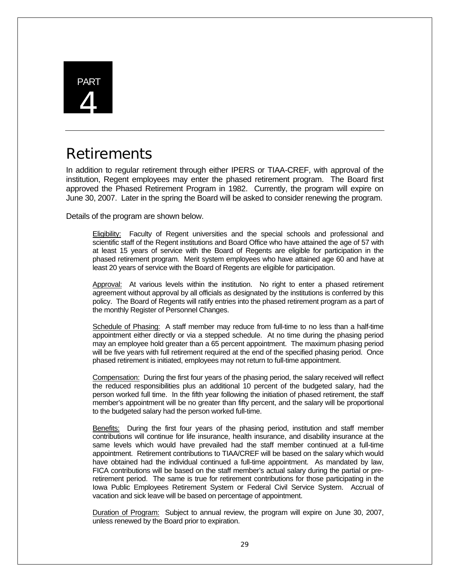

# **Retirements**

In addition to regular retirement through either IPERS or TIAA-CREF, with approval of the institution, Regent employees may enter the phased retirement program. The Board first approved the Phased Retirement Program in 1982. Currently, the program will expire on June 30, 2007. Later in the spring the Board will be asked to consider renewing the program.

Details of the program are shown below.

**Eligibility:** Faculty of Regent universities and the special schools and professional and scientific staff of the Regent institutions and Board Office who have attained the age of 57 with at least 15 years of service with the Board of Regents are eligible for participation in the phased retirement program. Merit system employees who have attained age 60 and have at least 20 years of service with the Board of Regents are eligible for participation.

Approval: At various levels within the institution. No right to enter a phased retirement agreement without approval by all officials as designated by the institutions is conferred by this policy. The Board of Regents will ratify entries into the phased retirement program as a part of the monthly Register of Personnel Changes.

Schedule of Phasing: A staff member may reduce from full-time to no less than a half-time appointment either directly or via a stepped schedule. At no time during the phasing period may an employee hold greater than a 65 percent appointment. The maximum phasing period will be five years with full retirement required at the end of the specified phasing period. Once phased retirement is initiated, employees may not return to full-time appointment.

Compensation: During the first four years of the phasing period, the salary received will reflect the reduced responsibilities plus an additional 10 percent of the budgeted salary, had the person worked full time. In the fifth year following the initiation of phased retirement, the staff member's appointment will be no greater than fifty percent, and the salary will be proportional to the budgeted salary had the person worked full-time.

Benefits: During the first four years of the phasing period, institution and staff member contributions will continue for life insurance, health insurance, and disability insurance at the same levels which would have prevailed had the staff member continued at a full-time appointment. Retirement contributions to TIAA/CREF will be based on the salary which would have obtained had the individual continued a full-time appointment. As mandated by law, FICA contributions will be based on the staff member's actual salary during the partial or preretirement period. The same is true for retirement contributions for those participating in the Iowa Public Employees Retirement System or Federal Civil Service System. Accrual of vacation and sick leave will be based on percentage of appointment.

Duration of Program: Subject to annual review, the program will expire on June 30, 2007, unless renewed by the Board prior to expiration.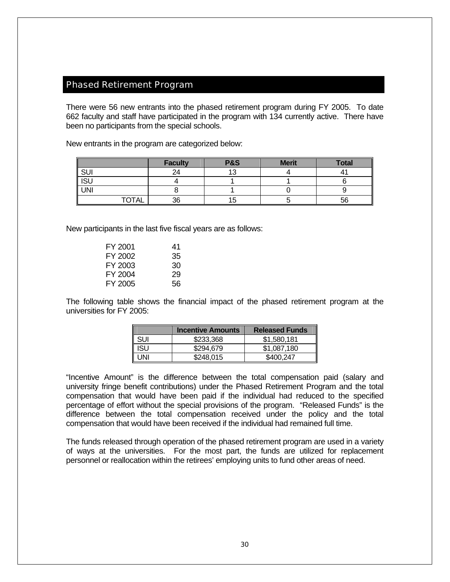## Phased Retirement Program

There were 56 new entrants into the phased retirement program during FY 2005. To date 662 faculty and staff have participated in the program with 134 currently active. There have been no participants from the special schools.

New entrants in the program are categorized below:

|                              | <b>Faculty</b> | <b>P&amp;S</b> | <b>Merit</b> | <b>Total</b> |
|------------------------------|----------------|----------------|--------------|--------------|
| $\overline{\phantom{a}}$ SUI | 24             | 10             |              |              |
| $\sqrt{SU}$                  |                |                |              |              |
| UNI                          |                |                |              |              |
| TOTAL                        | 36             |                |              | 56           |

New participants in the last five fiscal years are as follows:

| 41 |
|----|
| 35 |
| 30 |
| 29 |
| 56 |
|    |

The following table shows the financial impact of the phased retirement program at the universities for FY 2005:

|            | <b>Incentive Amounts</b> | <b>Released Funds</b> |
|------------|--------------------------|-----------------------|
| <b>SUI</b> | \$233,368                | \$1,580,181           |
| <b>ISU</b> | \$294,679                | \$1,087.180           |
| UNI        | \$248,015                | \$400.247             |

"Incentive Amount" is the difference between the total compensation paid (salary and university fringe benefit contributions) under the Phased Retirement Program and the total compensation that would have been paid if the individual had reduced to the specified percentage of effort without the special provisions of the program. "Released Funds" is the difference between the total compensation received under the policy and the total compensation that would have been received if the individual had remained full time.

The funds released through operation of the phased retirement program are used in a variety of ways at the universities. For the most part, the funds are utilized for replacement personnel or reallocation within the retirees' employing units to fund other areas of need.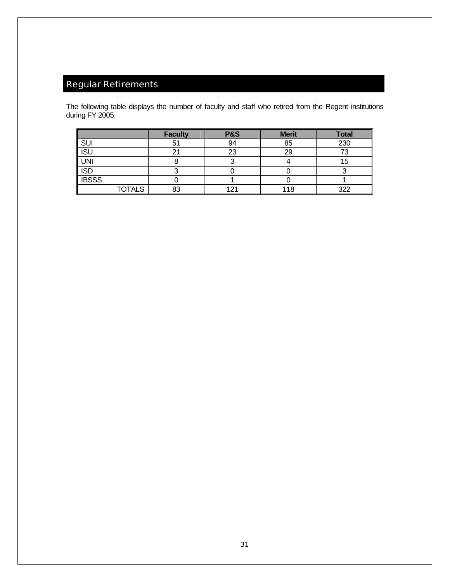# Regular Retirements

The following table displays the number of faculty and staff who retired from the Regent institutions during FY 2005.

|                  |               | <b>Faculty</b> | <b>P&amp;S</b> | <b>Merit</b> | <b>Total</b> |
|------------------|---------------|----------------|----------------|--------------|--------------|
| <b>SUI</b>       |               | Ð              | 94             | 85           | 230          |
| <b>ISU</b>       |               |                | 23             | 29           |              |
| <b>UNI</b>       |               |                |                |              | 15           |
| $\overline{ISD}$ |               |                |                |              |              |
| <b>IBSSS</b>     |               |                |                |              |              |
|                  | <b>TOTALS</b> | 83             | ، م 1          | 118          | -322         |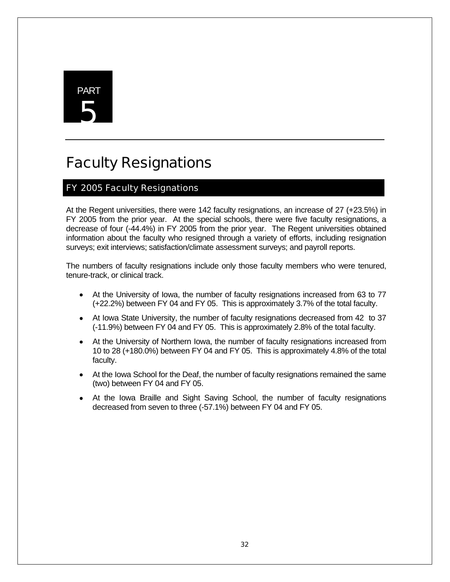# PART 5

# Faculty Resignations

## FY 2005 Faculty Resignations

At the Regent universities, there were 142 faculty resignations, an increase of 27 (+23.5%) in FY 2005 from the prior year. At the special schools, there were five faculty resignations, a decrease of four (-44.4%) in FY 2005 from the prior year. The Regent universities obtained information about the faculty who resigned through a variety of efforts, including resignation surveys; exit interviews; satisfaction/climate assessment surveys; and payroll reports.

The numbers of faculty resignations include only those faculty members who were tenured, tenure-track, or clinical track.

- At the University of Iowa, the number of faculty resignations increased from 63 to 77 (+22.2%) between FY 04 and FY 05. This is approximately 3.7% of the total faculty.
- At Iowa State University, the number of faculty resignations decreased from 42 to 37 (-11.9%) between FY 04 and FY 05. This is approximately 2.8% of the total faculty.
- At the University of Northern Iowa, the number of faculty resignations increased from 10 to 28 (+180.0%) between FY 04 and FY 05. This is approximately 4.8% of the total faculty.
- At the Iowa School for the Deaf, the number of faculty resignations remained the same (two) between FY 04 and FY 05.
- At the Iowa Braille and Sight Saving School, the number of faculty resignations decreased from seven to three (-57.1%) between FY 04 and FY 05.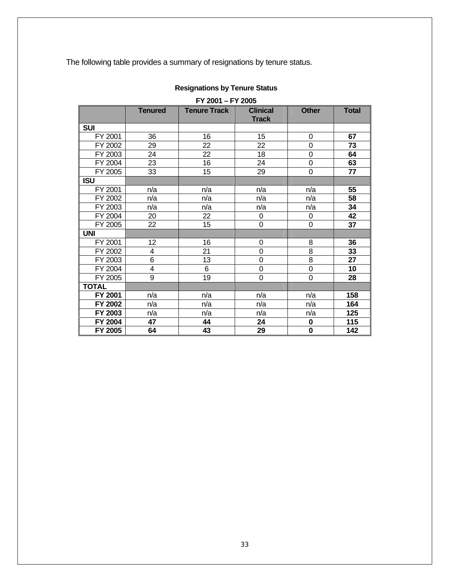The following table provides a summary of resignations by tenure status.

| FY 2001 - FY 2005 |                |                     |                                 |                |              |  |
|-------------------|----------------|---------------------|---------------------------------|----------------|--------------|--|
|                   | <b>Tenured</b> | <b>Tenure Track</b> | <b>Clinical</b><br><b>Track</b> | <b>Other</b>   | <b>Total</b> |  |
| <b>SUI</b>        |                |                     |                                 |                |              |  |
| FY 2001           | 36             | 16                  | 15                              | 0              | 67           |  |
| FY 2002           | 29             | 22                  | 22                              | $\overline{0}$ | 73           |  |
| FY 2003           | 24             | 22                  | 18                              | $\overline{0}$ | 64           |  |
| FY 2004           | 23             | 16                  | 24                              | 0              | 63           |  |
| FY 2005           | 33             | 15                  | 29                              | 0              | 77           |  |
| <b>ISU</b>        |                |                     |                                 |                |              |  |
| FY 2001           | n/a            | n/a                 | n/a                             | n/a            | 55           |  |
| FY 2002           | n/a            | n/a                 | n/a                             | n/a            | 58           |  |
| FY 2003           | n/a            | n/a                 | n/a                             | n/a            | 34           |  |
| FY 2004           | 20             | 22                  | 0                               | 0              | 42           |  |
| FY 2005           | 22             | 15                  | 0                               | 0              | 37           |  |
| <b>UNI</b>        |                |                     |                                 |                |              |  |
| FY 2001           | 12             | 16                  | 0                               | 8              | 36           |  |
| FY 2002           | 4              | 21                  | 0                               | 8              | 33           |  |
| FY 2003           | 6              | 13                  | $\overline{0}$                  | 8              | 27           |  |
| FY 2004           | 4              | 6                   | 0                               | $\mathbf 0$    | 10           |  |
| FY 2005           | 9              | 19                  | 0                               | $\overline{0}$ | 28           |  |
| <b>TOTAL</b>      |                |                     |                                 |                |              |  |
| FY 2001           | n/a            | n/a                 | n/a                             | n/a            | 158          |  |
| FY 2002           | n/a            | n/a                 | n/a                             | n/a            | 164          |  |
| FY 2003           | n/a            | n/a                 | n/a                             | n/a            | 125          |  |
| FY 2004           | 47             | 44                  | 24                              | $\bf{0}$       | 115          |  |
| FY 2005           | 64             | 43                  | 29                              | $\bf{0}$       | 142          |  |

## **Resignations by Tenure Status**

33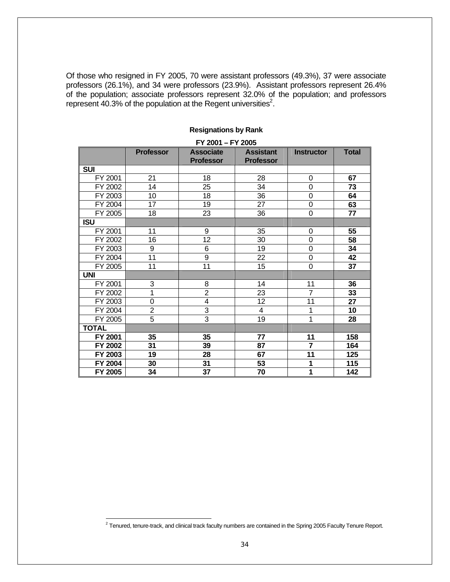Of those who resigned in FY 2005, 70 were assistant professors (49.3%), 37 were associate professors (26.1%), and 34 were professors (23.9%). Assistant professors represent 26.4% of the population; associate professors represent 32.0% of the population; and professors represent 40.3% of the population at the Regent universities<sup>2</sup>.

|              |                  | FY 2001 - FY 2005                    |                                      |                   |              |
|--------------|------------------|--------------------------------------|--------------------------------------|-------------------|--------------|
|              | <b>Professor</b> | <b>Associate</b><br><b>Professor</b> | <b>Assistant</b><br><b>Professor</b> | <b>Instructor</b> | <b>Total</b> |
| <b>SUI</b>   |                  |                                      |                                      |                   |              |
| FY 2001      | 21               | 18                                   | 28                                   | 0                 | 67           |
| FY 2002      | 14               | 25                                   | 34                                   | $\overline{0}$    | 73           |
| FY 2003      | 10               | 18                                   | 36                                   | 0                 | 64           |
| FY 2004      | $\overline{17}$  | 19                                   | $\overline{27}$                      | $\overline{0}$    | 63           |
| FY 2005      | 18               | 23                                   | 36                                   | 0                 | 77           |
| <b>ISU</b>   |                  |                                      |                                      |                   |              |
| FY 2001      | 11               | 9                                    | 35                                   | 0                 | 55           |
| FY 2002      | 16               | $\overline{12}$                      | 30                                   | $\overline{0}$    | 58           |
| FY 2003      | 9                | 6                                    | 19                                   | $\mathbf 0$       | 34           |
| FY 2004      | 11               | 9                                    | 22                                   | $\overline{0}$    | 42           |
| FY 2005      | 11               | 11                                   | 15                                   | 0                 | 37           |
| <b>UNI</b>   |                  |                                      |                                      |                   |              |
| FY 2001      | 3                | 8                                    | 14                                   | 11                | 36           |
| FY 2002      | 1                | $\overline{2}$                       | 23                                   | $\overline{7}$    | 33           |
| FY 2003      | 0                | 4                                    | 12                                   | 11                | 27           |
| FY 2004      | $\overline{2}$   | 3                                    | $\overline{4}$                       | 1                 | 10           |
| FY 2005      | $\overline{5}$   | 3                                    | 19                                   | 1                 | 28           |
| <b>TOTAL</b> |                  |                                      |                                      |                   |              |
| FY 2001      | 35               | 35                                   | 77                                   | 11                | 158          |
| FY 2002      | 31               | 39                                   | 87                                   | $\overline{7}$    | 164          |
| FY 2003      | 19               | 28                                   | 67                                   | 11                | 125          |
| FY 2004      | 30               | 31                                   | 53                                   | 1                 | 115          |
| FY 2005      | 34               | 37                                   | 70                                   | 1                 | 142          |

#### **Resignations by Rank**

 2 Tenured, tenure-track, and clinical track faculty numbers are contained in the Spring 2005 Faculty Tenure Report.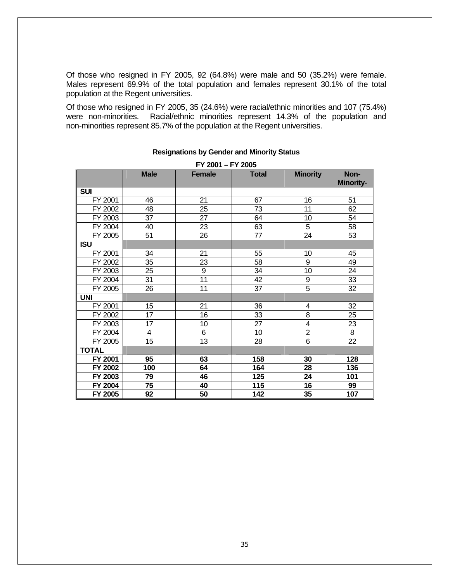Of those who resigned in FY 2005, 92 (64.8%) were male and 50 (35.2%) were female. Males represent 69.9% of the total population and females represent 30.1% of the total population at the Regent universities.

Of those who resigned in FY 2005, 35 (24.6%) were racial/ethnic minorities and 107 (75.4%) were non-minorities. Racial/ethnic minorities represent 14.3% of the population and non-minorities represent 85.7% of the population at the Regent universities.

|              | FY 2001 - FY 2005 |                 |                 |                 |                          |  |  |
|--------------|-------------------|-----------------|-----------------|-----------------|--------------------------|--|--|
|              | <b>Male</b>       | <b>Female</b>   | <b>Total</b>    | <b>Minority</b> | Non-<br><b>Minority-</b> |  |  |
| <b>SUI</b>   |                   |                 |                 |                 |                          |  |  |
| FY 2001      | 46                | 21              | 67              | 16              | 51                       |  |  |
| FY 2002      | 48                | 25              | 73              | 11              | 62                       |  |  |
| FY 2003      | 37                | 27              | 64              | 10              | 54                       |  |  |
| FY 2004      | 40                | 23              | 63              | $\overline{5}$  | 58                       |  |  |
| FY 2005      | 51                | 26              | 77              | 24              | 53                       |  |  |
| <b>ISU</b>   |                   |                 |                 |                 |                          |  |  |
| FY 2001      | 34                | 21              | 55              | 10              | 45                       |  |  |
| FY 2002      | 35                | 23              | 58              | 9               | 49                       |  |  |
| FY 2003      | 25                | 9               | 34              | 10              | 24                       |  |  |
| FY 2004      | 31                | $\overline{11}$ | 42              | 9               | 33                       |  |  |
| FY 2005      | 26                | 11              | 37              | $\overline{5}$  | 32                       |  |  |
| <b>UNI</b>   |                   |                 |                 |                 |                          |  |  |
| FY 2001      | 15                | 21              | 36              | 4               | 32                       |  |  |
| FY 2002      | $\overline{17}$   | 16              | $\overline{33}$ | $\overline{8}$  | 25                       |  |  |
| FY 2003      | $\overline{17}$   | 10              | $\overline{27}$ | $\overline{4}$  | 23                       |  |  |
| FY 2004      | $\overline{4}$    | $\overline{6}$  | $\overline{10}$ | $\overline{2}$  | $\overline{8}$           |  |  |
| FY 2005      | 15                | 13              | 28              | $\overline{6}$  | $\overline{22}$          |  |  |
| <b>TOTAL</b> |                   |                 |                 |                 |                          |  |  |
| FY 2001      | 95                | 63              | 158             | 30              | 128                      |  |  |
| FY 2002      | 100               | 64              | 164             | 28              | 136                      |  |  |
| FY 2003      | 79                | 46              | 125             | 24              | 101                      |  |  |
| FY 2004      | 75                | 40              | 115             | 16              | 99                       |  |  |
| FY 2005      | 92                | 50              | 142             | 35              | 107                      |  |  |

#### **Resignations by Gender and Minority Status**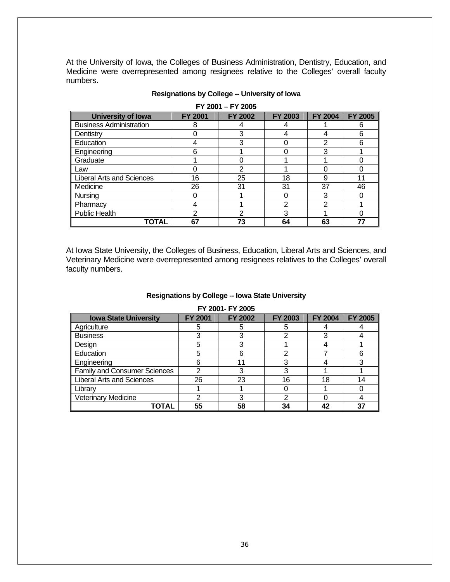At the University of Iowa, the Colleges of Business Administration, Dentistry, Education, and Medicine were overrepresented among resignees relative to the Colleges' overall faculty numbers.

| <b>University of lowa</b>        | <b>FY 2001</b> | <b>FY 2002</b> | <b>FY 2003</b> | <b>FY 2004</b> | <b>FY 2005</b> |
|----------------------------------|----------------|----------------|----------------|----------------|----------------|
| <b>Business Administration</b>   | 8              |                |                |                | 6              |
| Dentistry                        |                | 3              |                |                | 6              |
| Education                        |                |                |                | 2              | 6              |
| Engineering                      | 6              |                |                | 3              |                |
| Graduate                         |                |                |                |                |                |
| Law                              |                | 2              |                |                |                |
| <b>Liberal Arts and Sciences</b> | 16             | 25             | 18             | 9              | 11             |
| Medicine                         | 26             | 31             | 31             | 37             | 46             |
| Nursing                          |                |                | 0              | 3              |                |
| Pharmacy                         |                |                | 2              | 2              |                |
| <b>Public Health</b>             | 2              | 2              | 3              |                |                |
| TOTAL                            | 67             | 73             | 64             | 63             | 77             |

#### **Resignations by College -- University of Iowa**

**FY 2001 – FY 2005** 

At Iowa State University, the Colleges of Business, Education, Liberal Arts and Sciences, and Veterinary Medicine were overrepresented among resignees relatives to the Colleges' overall faculty numbers.

#### **Resignations by College -- Iowa State University**

| I I LUU I II LUUJ                   |                |                |                |                |                |  |  |
|-------------------------------------|----------------|----------------|----------------|----------------|----------------|--|--|
| <b>Iowa State University</b>        | <b>FY 2001</b> | <b>FY 2002</b> | <b>FY 2003</b> | <b>FY 2004</b> | <b>FY 2005</b> |  |  |
| Agriculture                         |                |                | 5              |                |                |  |  |
| <b>Business</b>                     |                |                | 2              |                |                |  |  |
| Design                              | 5              |                |                |                |                |  |  |
| Education                           |                |                | າ              |                | 6              |  |  |
| Engineering                         |                | 11             | 3              |                | 3              |  |  |
| <b>Family and Consumer Sciences</b> | ⌒              |                |                |                |                |  |  |
| <b>Liberal Arts and Sciences</b>    | 26             | 23             | 16             | 18             | 14             |  |  |
| Librarv                             |                |                |                |                |                |  |  |
| <b>Veterinary Medicine</b>          | ⌒              |                | າ              |                |                |  |  |
| TOTAL                               | 55             | 58             | 34             | 42             | 37             |  |  |

#### **FY 2001- FY 2005**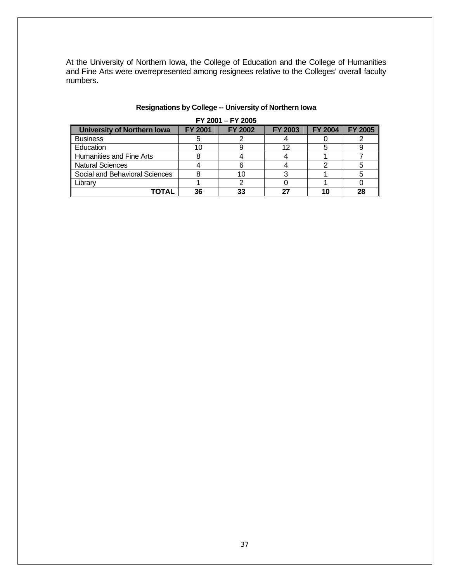At the University of Northern Iowa, the College of Education and the College of Humanities and Fine Arts were overrepresented among resignees relative to the Colleges' overall faculty numbers.

| FY 2001 - FY 2005                  |                |                |                |                |                |  |
|------------------------------------|----------------|----------------|----------------|----------------|----------------|--|
| <b>University of Northern Iowa</b> | <b>FY 2001</b> | <b>FY 2002</b> | <b>FY 2003</b> | <b>FY 2004</b> | <b>FY 2005</b> |  |
| <b>Business</b>                    |                |                |                |                |                |  |
| Education                          |                |                | 12             |                |                |  |
| Humanities and Fine Arts           |                |                |                |                |                |  |
| <b>Natural Sciences</b>            |                |                |                |                |                |  |
| Social and Behavioral Sciences     |                |                |                |                |                |  |
| Library                            |                |                |                |                |                |  |
| TOTAL                              | 36             |                | דכ             |                | 28             |  |

## **Resignations by College -- University of Northern Iowa**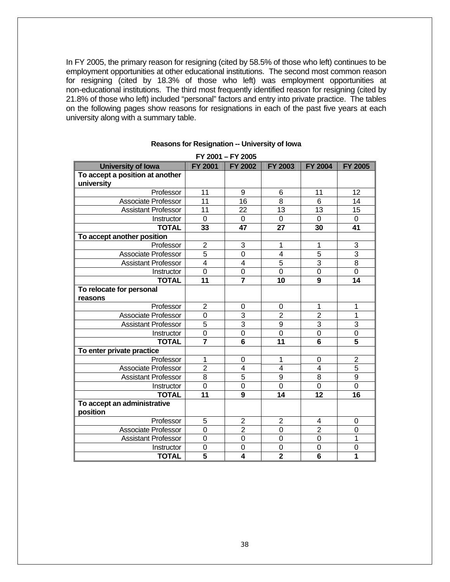In FY 2005, the primary reason for resigning (cited by 58.5% of those who left) continues to be employment opportunities at other educational institutions. The second most common reason for resigning (cited by 18.3% of those who left) was employment opportunities at non-educational institutions. The third most frequently identified reason for resigning (cited by 21.8% of those who left) included "personal" factors and entry into private practice. The tables on the following pages show reasons for resignations in each of the past five years at each university along with a summary table.

| FY 2001 - FY 2005               |                         |                         |                 |                         |                 |
|---------------------------------|-------------------------|-------------------------|-----------------|-------------------------|-----------------|
| <b>University of lowa</b>       | <b>FY 2001</b>          | <b>FY 2002</b>          | FY 2003         | <b>FY 2004</b>          | <b>FY 2005</b>  |
| To accept a position at another |                         |                         |                 |                         |                 |
| university                      |                         |                         |                 |                         |                 |
| Professor                       | 11                      | 9                       | 6               | 11                      | 12              |
| <b>Associate Professor</b>      | $\overline{11}$         | $\overline{16}$         | $\overline{8}$  | 6                       | $\overline{14}$ |
| <b>Assistant Professor</b>      | 11                      | 22                      | 13              | 13                      | 15              |
| Instructor                      | $\mathbf 0$             | 0                       | 0               | 0                       | 0               |
| <b>TOTAL</b>                    | 33                      | 47                      | 27              | 30                      | 41              |
| To accept another position      |                         |                         |                 |                         |                 |
| Professor                       | $\overline{2}$          | 3                       | 1               | 1                       | 3               |
| Associate Professor             | $\overline{5}$          | $\overline{0}$          | $\overline{4}$  | $\overline{5}$          | $\overline{3}$  |
| <b>Assistant Professor</b>      | $\overline{4}$          | $\overline{4}$          | $\overline{5}$  | 3                       | $\overline{8}$  |
| Instructor                      | 0                       | $\mathbf 0$             | $\overline{0}$  | $\overline{0}$          | $\overline{0}$  |
| <b>TOTAL</b>                    | 11                      | $\overline{7}$          | 10              | 9                       | 14              |
| To relocate for personal        |                         |                         |                 |                         |                 |
| reasons                         |                         |                         |                 |                         |                 |
| Professor                       | $\overline{2}$          | 0                       | 0               | 1                       | 1               |
| <b>Associate Professor</b>      | 0                       | 3                       | $\overline{2}$  | $\overline{2}$          | 1               |
| <b>Assistant Professor</b>      | 5                       | 3                       | 9               | 3                       | 3               |
| Instructor                      | $\overline{0}$          | $\overline{0}$          | $\overline{0}$  | $\overline{0}$          | $\overline{0}$  |
| <b>TOTAL</b>                    |                         | $\overline{\mathbf{6}}$ | 11              | $\overline{\mathbf{6}}$ | $\overline{5}$  |
| To enter private practice       |                         |                         |                 |                         |                 |
| Professor                       | 1                       | 0                       | 1               | 0                       | $\overline{2}$  |
| Associate Professor             | $\overline{2}$          | $\overline{\mathbf{4}}$ | $\overline{4}$  | $\overline{4}$          | 5               |
| <b>Assistant Professor</b>      | $\overline{8}$          | $\overline{5}$          | $\overline{9}$  | 8                       | $\overline{9}$  |
| Instructor                      | $\mathbf 0$             | $\overline{0}$          | $\overline{0}$  | $\mathbf 0$             | $\overline{0}$  |
| <b>TOTAL</b>                    | $\overline{11}$         | 9                       | $\overline{14}$ | $\overline{12}$         | 16              |
| To accept an administrative     |                         |                         |                 |                         |                 |
| position                        |                         |                         |                 |                         |                 |
| Professor                       | 5                       | 2                       | $\overline{2}$  | 4                       | 0               |
| <b>Associate Professor</b>      | 0                       | $\overline{2}$          | 0               | $\overline{2}$          | 0               |
| <b>Assistant Professor</b>      | 0                       | $\mathbf 0$             | $\overline{0}$  | 0                       | 1               |
| Instructor                      | 0                       | $\mathbf 0$             | 0               | 0                       | $\mathbf 0$     |
| <b>TOTAL</b>                    | $\overline{\mathbf{5}}$ | $\overline{4}$          | $\overline{2}$  | $\overline{6}$          | 1               |

#### **Reasons for Resignation -- University of Iowa**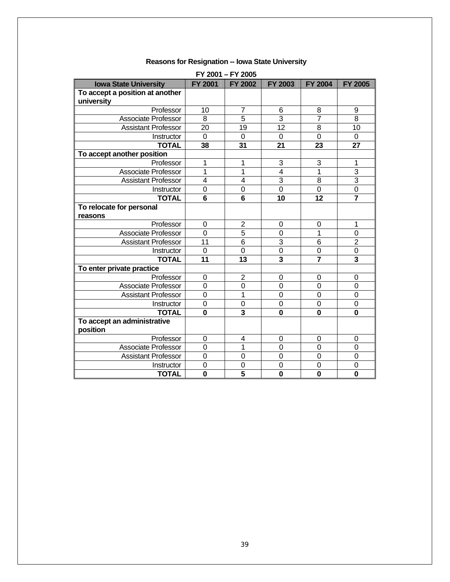| FY 2001 - FY 2005               |                |                         |                         |                 |                         |
|---------------------------------|----------------|-------------------------|-------------------------|-----------------|-------------------------|
| <b>Iowa State University</b>    | <b>FY 2001</b> | <b>FY 2002</b>          | <b>FY 2003</b>          | <b>FY 2004</b>  | <b>FY 2005</b>          |
| To accept a position at another |                |                         |                         |                 |                         |
| university                      |                |                         |                         |                 |                         |
| Professor                       | 10             | 7                       | 6                       | 8               | 9                       |
| <b>Associate Professor</b>      | 8              | 5                       | 3                       | $\overline{7}$  | 8                       |
| <b>Assistant Professor</b>      | 20             | 19                      | $\overline{12}$         | 8               | 10                      |
| Instructor                      | 0              | 0                       | 0                       | 0               | 0                       |
| <b>TOTAL</b>                    | 38             | 31                      | 21                      | 23              | 27                      |
| To accept another position      |                |                         |                         |                 |                         |
| Professor                       | 1              | 1                       | 3                       | 3               | 1                       |
| <b>Associate Professor</b>      | 1              | 1                       | $\overline{4}$          | 1               | 3                       |
| <b>Assistant Professor</b>      | $\overline{4}$ | $\overline{4}$          | $\overline{3}$          | 8               | 3                       |
| Instructor                      | 0              | $\boldsymbol{0}$        | $\overline{0}$          | 0               | 0                       |
| <b>TOTAL</b>                    | 6              | $6\phantom{1}$          | 10                      | 12              | $\overline{7}$          |
| To relocate for personal        |                |                         |                         |                 |                         |
| reasons                         |                |                         |                         |                 |                         |
| Professor                       | 0              | $\overline{2}$          | $\Omega$                | 0               | 1                       |
| Associate Professor             | $\overline{0}$ | $\overline{5}$          | $\overline{0}$          | 1               | $\mathbf 0$             |
| <b>Assistant Professor</b>      | 11             | $\overline{6}$          | 3                       | $6\phantom{1}6$ | $\overline{2}$          |
| Instructor                      | 0              | $\mathbf 0$             | $\overline{0}$          | $\overline{0}$  | $\mathbf 0$             |
| <b>TOTAL</b>                    | 11             | 13                      | $\overline{\mathbf{3}}$ |                 | $\overline{\mathbf{3}}$ |
| To enter private practice       |                |                         |                         |                 |                         |
| Professor                       | 0              | $\overline{2}$          | 0                       | 0               | 0                       |
| <b>Associate Professor</b>      | $\mathbf 0$    | $\mathbf 0$             | $\overline{0}$          | $\overline{0}$  | $\overline{0}$          |
| <b>Assistant Professor</b>      | $\overline{0}$ | 1                       | $\Omega$                | $\overline{0}$  | 0                       |
| Instructor                      | 0              | $\mathbf 0$             | 0                       | $\overline{0}$  | $\mathbf 0$             |
| <b>TOTAL</b>                    | 0              | 3                       | $\bf{0}$                | $\bf{0}$        | 0                       |
| To accept an administrative     |                |                         |                         |                 |                         |
| position                        |                |                         |                         |                 |                         |
| Professor                       | 0              | 4                       | 0                       | 0               | 0                       |
| <b>Associate Professor</b>      | $\mathbf 0$    | 1                       | $\overline{0}$          | $\overline{0}$  | $\mathbf 0$             |
| <b>Assistant Professor</b>      | 0              | $\mathbf 0$             | 0                       | 0               | $\boldsymbol{0}$        |
| Instructor                      | 0              | $\mathbf 0$             | $\mathbf 0$             | $\overline{0}$  | $\mathbf 0$             |
| <b>TOTAL</b>                    | $\bf{0}$       | $\overline{\mathbf{5}}$ | $\bf{0}$                | $\bf{0}$        | 0                       |

#### **Reasons for Resignation -- Iowa State University**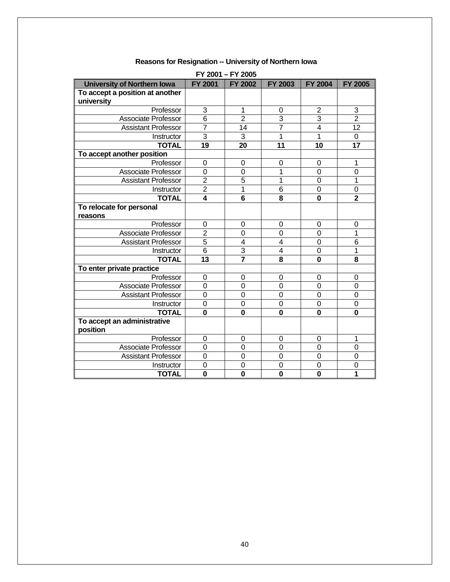| FY 2001 - FY 2005                  |                         |                |                         |                         |                 |
|------------------------------------|-------------------------|----------------|-------------------------|-------------------------|-----------------|
| <b>University of Northern Iowa</b> | <b>FY 2001</b>          | <b>FY 2002</b> | <b>FY 2003</b>          | <b>FY 2004</b>          | <b>FY 2005</b>  |
| To accept a position at another    |                         |                |                         |                         |                 |
| university                         |                         |                |                         |                         |                 |
| Professor                          | 3                       | 1              | 0                       | $\overline{2}$          | 3               |
| <b>Associate Professor</b>         | 6                       | $\overline{2}$ | 3                       | 3                       | $\overline{2}$  |
| <b>Assistant Professor</b>         | $\overline{7}$          | 14             | $\overline{7}$          | $\overline{\mathbf{4}}$ | $\overline{12}$ |
| Instructor                         | 3                       | 3              | 1                       | 1                       | 0               |
| <b>TOTAL</b>                       | 19                      | 20             | 11                      | 10                      | 17              |
| To accept another position         |                         |                |                         |                         |                 |
| Professor                          | 0                       | 0              | 0                       | 0                       | 1               |
| <b>Associate Professor</b>         | $\mathbf 0$             | $\mathbf 0$    | 1                       | $\overline{0}$          | $\mathbf 0$     |
| <b>Assistant Professor</b>         | $\overline{2}$          | 5              | 1                       | $\overline{0}$          | 1               |
| Instructor                         | $\overline{2}$          | 1              | $\overline{6}$          | 0                       | $\mathbf 0$     |
| <b>TOTAL</b>                       | $\overline{\mathbf{4}}$ | 6              | 8                       | 0                       | $\overline{2}$  |
| To relocate for personal           |                         |                |                         |                         |                 |
| reasons                            |                         |                |                         |                         |                 |
| Professor                          | 0                       | 0              | 0                       | 0                       | 0               |
| Associate Professor                | $\overline{2}$          | $\mathbf 0$    | $\mathbf 0$             | $\mathbf 0$             | 1               |
| <b>Assistant Professor</b>         | $\overline{5}$          | 4              | $\overline{4}$          | $\overline{0}$          | $\overline{6}$  |
| Instructor                         | $\overline{6}$          | $\overline{3}$ | $\overline{4}$          | $\overline{0}$          | 1               |
| <b>TOTAL</b>                       | 13                      |                | $\overline{\mathbf{8}}$ | $\mathbf 0$             | 8               |
| To enter private practice          |                         |                |                         |                         |                 |
| Professor                          | 0                       | 0              | 0                       | 0                       | 0               |
| <b>Associate Professor</b>         | $\mathbf 0$             | $\overline{0}$ | $\overline{0}$          | $\overline{0}$          | $\overline{0}$  |
| <b>Assistant Professor</b>         | $\overline{0}$          | $\overline{0}$ | $\Omega$                | $\overline{0}$          | 0               |
| Instructor                         | $\overline{0}$          | $\overline{0}$ | $\overline{0}$          | 0                       | 0               |
| <b>TOTAL</b>                       | 0                       | $\bf{0}$       | $\bf{0}$                | $\bf{0}$                | 0               |
| To accept an administrative        |                         |                |                         |                         |                 |
| position                           |                         |                |                         |                         |                 |
| Professor                          | 0                       | 0              | 0                       | 0                       | 1               |
| <b>Associate Professor</b>         | $\mathbf 0$             | $\overline{0}$ | $\overline{0}$          | $\overline{0}$          | $\mathbf 0$     |
| <b>Assistant Professor</b>         | $\mathbf 0$             | $\mathbf 0$    | 0                       | 0                       | 0               |
| Instructor                         | 0                       | $\mathbf 0$    | $\overline{0}$          | 0                       | $\overline{0}$  |
| <b>TOTAL</b>                       | $\mathbf 0$             | 0              | $\mathbf 0$             | $\mathbf 0$             | 1               |

## **Reasons for Resignation -- University of Northern Iowa**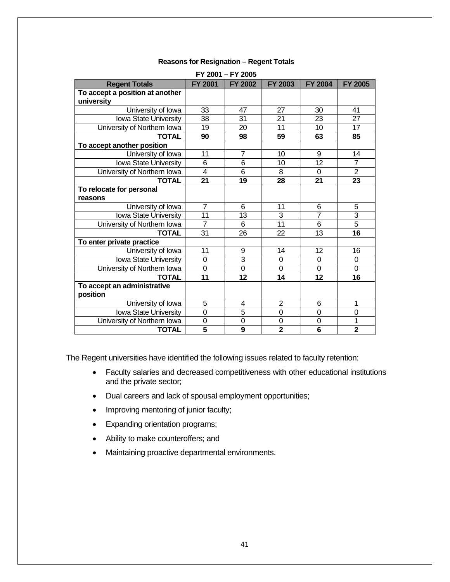| FY 2001 - FY 2005               |                         |                |                 |                 |                         |
|---------------------------------|-------------------------|----------------|-----------------|-----------------|-------------------------|
| <b>Regent Totals</b>            | <b>FY 2001</b>          | FY 2002        | <b>FY 2003</b>  | <b>FY 2004</b>  | <b>FY 2005</b>          |
| To accept a position at another |                         |                |                 |                 |                         |
| university                      |                         |                |                 |                 |                         |
| University of Iowa              | 33                      | 47             | 27              | 30              | 41                      |
| Iowa State University           | 38                      | 31             | 21              | 23              | $\overline{27}$         |
| University of Northern Iowa     | 19                      | 20             | 11              | 10              | 17                      |
| <b>TOTAL</b>                    | 90                      | 98             | 59              | 63              | 85                      |
| To accept another position      |                         |                |                 |                 |                         |
| University of Iowa              | 11                      | $\overline{7}$ | 10              | 9               | 14                      |
| Iowa State University           | 6                       | 6              | 10              | $\overline{12}$ | $\overline{7}$          |
| University of Northern Iowa     | 4                       | 6              | 8               | $\Omega$        | $\overline{2}$          |
| <b>TOTAL</b>                    | 21                      | 19             | 28              | 21              | 23                      |
| To relocate for personal        |                         |                |                 |                 |                         |
| reasons                         |                         |                |                 |                 |                         |
| University of Iowa              | $\overline{7}$          | 6              | 11              | 6               | 5                       |
| Iowa State University           | 11                      | 13             | 3               | $\overline{7}$  | 3                       |
| University of Northern Iowa     | $\overline{7}$          | 6              | $\overline{11}$ | 6               | $\overline{5}$          |
| <b>TOTAL</b>                    | 31                      | 26             | 22              | 13              | $\overline{16}$         |
| To enter private practice       |                         |                |                 |                 |                         |
| University of Iowa              | 11                      | 9              | 14              | 12              | 16                      |
| Iowa State University           | $\mathbf 0$             | $\overline{3}$ | $\overline{0}$  | 0               | 0                       |
| University of Northern Iowa     | $\mathbf 0$             | $\overline{0}$ | $\overline{0}$  | 0               | $\mathbf 0$             |
| <b>TOTAL</b>                    | 11                      | 12             | 14              | 12              | 16                      |
| To accept an administrative     |                         |                |                 |                 |                         |
| position                        |                         |                |                 |                 |                         |
| University of Iowa              | 5                       | 4              | $\overline{2}$  | 6               | 1                       |
| Iowa State University           | $\overline{0}$          | 5              | $\overline{0}$  | 0               | 0                       |
| University of Northern Iowa     | $\overline{0}$          | $\mathbf 0$    | $\mathbf 0$     | $\overline{0}$  | 1                       |
| <b>TOTAL</b>                    | $\overline{\mathbf{5}}$ | 9              | $\overline{2}$  | 6               | $\overline{\mathbf{2}}$ |

#### **Reasons for Resignation – Regent Totals**

The Regent universities have identified the following issues related to faculty retention:

- Faculty salaries and decreased competitiveness with other educational institutions and the private sector;
- Dual careers and lack of spousal employment opportunities;
- Improving mentoring of junior faculty;
- Expanding orientation programs;
- Ability to make counteroffers; and
- Maintaining proactive departmental environments.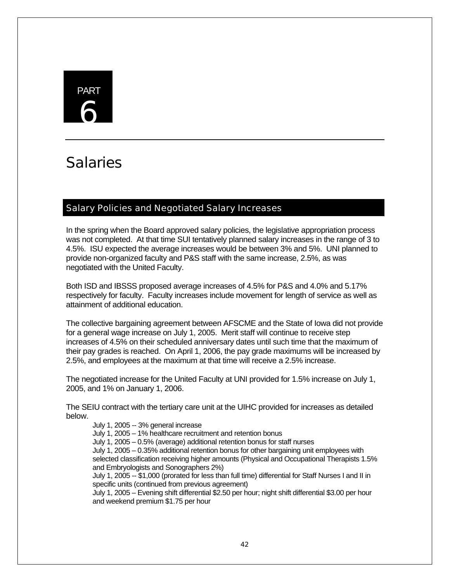# PART 6

# **Salaries**

# Salary Policies and Negotiated Salary Increases

In the spring when the Board approved salary policies, the legislative appropriation process was not completed. At that time SUI tentatively planned salary increases in the range of 3 to 4.5%. ISU expected the average increases would be between 3% and 5%. UNI planned to provide non-organized faculty and P&S staff with the same increase, 2.5%, as was negotiated with the United Faculty.

Both ISD and IBSSS proposed average increases of 4.5% for P&S and 4.0% and 5.17% respectively for faculty. Faculty increases include movement for length of service as well as attainment of additional education.

The collective bargaining agreement between AFSCME and the State of Iowa did not provide for a general wage increase on July 1, 2005. Merit staff will continue to receive step increases of 4.5% on their scheduled anniversary dates until such time that the maximum of their pay grades is reached. On April 1, 2006, the pay grade maximums will be increased by 2.5%, and employees at the maximum at that time will receive a 2.5% increase.

The negotiated increase for the United Faculty at UNI provided for 1.5% increase on July 1, 2005, and 1% on January 1, 2006.

The SEIU contract with the tertiary care unit at the UIHC provided for increases as detailed below.

July 1, 2005 -- 3% general increase

July 1, 2005 – 1% healthcare recruitment and retention bonus

July 1, 2005 – 0.5% (average) additional retention bonus for staff nurses

July 1, 2005 – 0.35% additional retention bonus for other bargaining unit employees with selected classification receiving higher amounts (Physical and Occupational Therapists 1.5% and Embryologists and Sonographers 2%)

July 1, 2005 -- \$1,000 (prorated for less than full time) differential for Staff Nurses I and II in specific units (continued from previous agreement)

July 1, 2005 – Evening shift differential \$2.50 per hour; night shift differential \$3.00 per hour and weekend premium \$1.75 per hour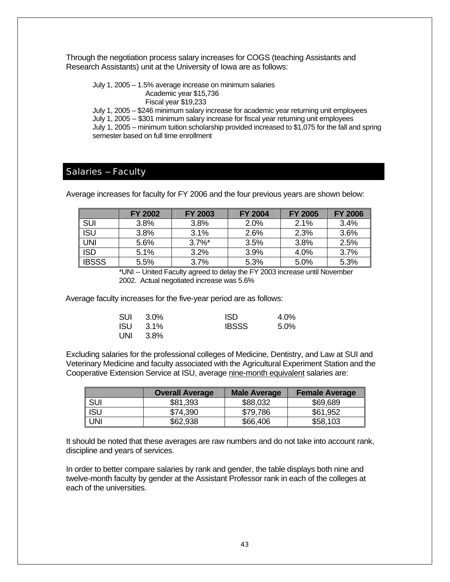Through the negotiation process salary increases for COGS (teaching Assistants and Research Assistants) unit at the University of Iowa are as follows:

July 1, 2005 – 1.5% average increase on minimum salaries Academic year \$15,736 Fiscal year \$19,233

July 1, 2005 – \$246 minimum salary increase for academic year returning unit employees July 1, 2005 -- \$301 minimum salary increase for fiscal year returning unit employees July 1, 2005 – minimum tuition scholarship provided increased to \$1,075 for the fall and spring semester based on full time enrollment

## Salaries -- Faculty

Average increases for faculty for FY 2006 and the four previous years are shown below:

|              | <b>FY 2002</b> | <b>FY 2003</b> | <b>FY 2004</b> | <b>FY 2005</b> | <b>FY 2006</b> |
|--------------|----------------|----------------|----------------|----------------|----------------|
| <b>SUI</b>   | 3.8%           | 3.8%           | 2.0%           | 2.1%           | 3.4%           |
| <b>ISU</b>   | 3.8%           | 3.1%           | 2.6%           | 2.3%           | 3.6%           |
| <b>UNI</b>   | 5.6%           | $3.7\%$ *      | 3.5%           | 3.8%           | 2.5%           |
| <b>ISD</b>   | 5.1%           | 3.2%           | 3.9%           | 4.0%           | 3.7%           |
| <b>IBSSS</b> | 5.5%           | 3.7%           | 5.3%           | 5.0%           | 5.3%           |

\*UNI -- United Faculty agreed to delay the FY 2003 increase until November 2002. Actual negotiated increase was 5.6%

Average faculty increases for the five-year period are as follows:

|     | SUI 3.0% | <b>ISD</b>   | 4.0%    |
|-----|----------|--------------|---------|
|     | ISU 3.1% | <b>IBSSS</b> | $5.0\%$ |
| UNI | 3.8%     |              |         |

Excluding salaries for the professional colleges of Medicine, Dentistry, and Law at SUI and Veterinary Medicine and faculty associated with the Agricultural Experiment Station and the Cooperative Extension Service at ISU, average nine-month equivalent salaries are:

|       | <b>Overall Average</b> | <b>Male Average</b> | <b>Female Average</b> |
|-------|------------------------|---------------------|-----------------------|
| I SUI | \$81,393               | \$88,032            | \$69,689              |
| I ISU | \$74,390               | \$79,786            | \$61,952              |
| I UNI | \$62,938               | \$66,406            | \$58,103              |

It should be noted that these averages are raw numbers and do not take into account rank, discipline and years of services.

In order to better compare salaries by rank and gender, the table displays both nine and twelve-month faculty by gender at the Assistant Professor rank in each of the colleges at each of the universities.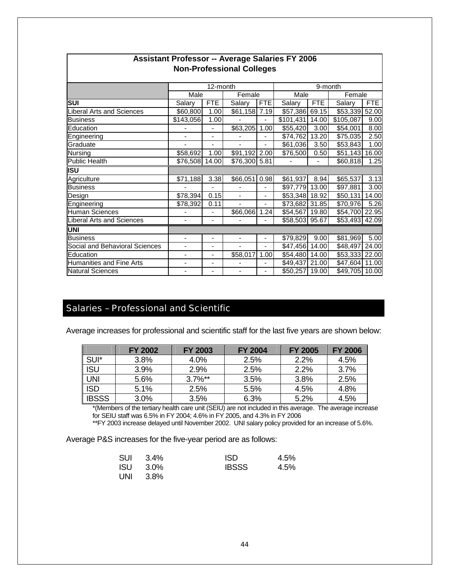|                                  |                          | 12-month                     |                          |                          | 9-month        |                |                      |       |
|----------------------------------|--------------------------|------------------------------|--------------------------|--------------------------|----------------|----------------|----------------------|-------|
|                                  | Male                     |                              | Female                   |                          | Male           |                | Female               |       |
| SUI                              | Salary                   | <b>FTE</b>                   | Salary                   | <b>FTE</b>               | Salary         | <b>FTE</b>     | Salary               | FTE   |
| <b>Liberal Arts and Sciences</b> | \$60,800                 | 1.00                         | \$61,158 7.19            |                          | \$57,386 69.15 |                | \$53,339 52.00       |       |
| <b>Business</b>                  | \$143,056                | 1.00                         |                          | ä,                       | \$101,431      | 14.00          | \$105,087            | 9.00  |
| Education                        |                          |                              | \$63,205                 | 1.00                     | \$55,420       | 3.00           | \$54,001             | 8.00  |
| Engineering                      |                          |                              |                          | ۰                        | \$74,762       | 13.20          | $\overline{$}75,035$ | 2.50  |
| Graduate                         |                          |                              |                          |                          | \$61,036       | 3.50           | \$53,843             | 1.00  |
| Nursing                          | \$58,692                 | 1.00                         | \$91,192 2.00            |                          | \$76,500       | 0.50           | \$51,143             | 16.00 |
| <b>Public Health</b>             | \$76,508                 | 14.00                        | \$76,300 5.81            |                          |                | $\blacksquare$ | \$60,818             | 1.25  |
| <b>ISU</b>                       |                          |                              |                          |                          |                |                |                      |       |
| Agriculture                      | \$71,188                 | 3.38                         | \$66,051                 | 0.98                     | \$61,937       | 8.94           | \$65,537             | 3.13  |
| <b>Business</b>                  |                          | $\overline{a}$               |                          | $\overline{\phantom{0}}$ | \$97,779 13.00 |                | \$97,881             | 3.00  |
| Design                           | \$78,394                 | 0.15                         | $\overline{\phantom{m}}$ | ۰                        | \$53,348 18.92 |                | \$50,131             | 14.00 |
| Engineering                      | \$78,392                 | 0.11                         | ÷,                       | $\overline{\phantom{0}}$ | \$73,682 31.85 |                | \$70,976             | 5.26  |
| <b>Human Sciences</b>            |                          | $\qquad \qquad \blacksquare$ | \$66,066                 | 1.24                     | \$54,567 19.80 |                | \$54,700 22.95       |       |
| <b>Liberal Arts and Sciences</b> | $\overline{\phantom{a}}$ | $\overline{\phantom{a}}$     |                          |                          | \$58,503 95.67 |                | \$53,493 42.09       |       |
| <b>UNI</b>                       |                          |                              |                          |                          |                |                |                      |       |
| <b>Business</b>                  |                          |                              |                          |                          | \$79,829       | 9.00           | \$81,969             | 5.00  |
| Social and Behavioral Sciences   |                          |                              |                          |                          | \$47,456       | 14.00          | \$48,497             | 24.00 |
| Education                        | $\overline{\phantom{a}}$ | $\overline{\phantom{a}}$     | \$58,017                 | 1.00                     | \$54,480 14.00 |                | \$53,333 22.00       |       |
| <b>Humanities and Fine Arts</b>  | $\overline{\phantom{a}}$ | $\overline{\phantom{a}}$     |                          |                          | \$49,437 21.00 |                | \$47,604 11.00       |       |
| <b>Natural Sciences</b>          |                          |                              |                          |                          | \$50,257       | 19.00          | \$49,705 10.00       |       |

#### **Assistant Professor -- Average Salaries FY 2006 Non-Professional Colleges**

## Salaries – Professional and Scientific

Average increases for professional and scientific staff for the last five years are shown below:

|              | <b>FY 2002</b> | <b>FY 2003</b> | <b>FY 2004</b> | <b>FY 2005</b> | <b>FY 2006</b> |
|--------------|----------------|----------------|----------------|----------------|----------------|
| SUI*         | 3.8%           | 4.0%           | 2.5%           | 2.2%           | 4.5%           |
| <b>ISU</b>   | 3.9%           | 2.9%           | 2.5%           | 2.2%           | 3.7%           |
| <b>UNI</b>   | 5.6%           | $3.7\%$ **     | 3.5%           | 3.8%           | 2.5%           |
| <b>ISD</b>   | 5.1%           | 2.5%           | 5.5%           | 4.5%           | 4.8%           |
| <b>IBSSS</b> | 3.0%           | 3.5%           | 6.3%           | 5.2%           | 4.5%           |

\*(Members of the tertiary health care unit (SEIU) are not included in this average. The average increase for SEIU staff was 6.5% in FY 2004; 4.6% in FY 2005, and 4.3% in FY 2006

\*\*FY 2003 increase delayed until November 2002. UNI salary policy provided for an increase of 5.6%.

Average P&S increases for the five-year period are as follows:

|     | SUI 3.4%        | ISD.         | 4.5% |
|-----|-----------------|--------------|------|
|     | <b>ISU</b> 3.0% | <b>IBSSS</b> | 4.5% |
| UNI | 3.8%            |              |      |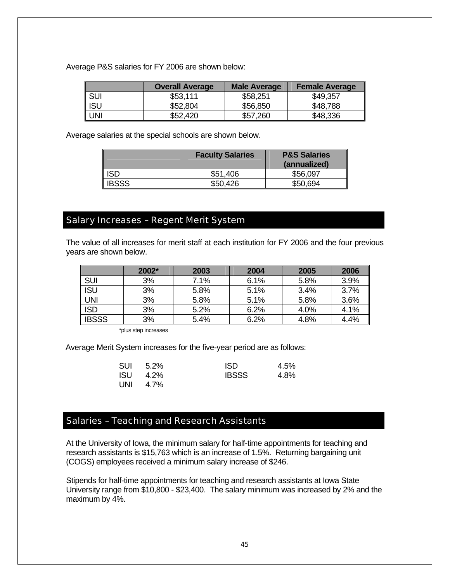Average P&S salaries for FY 2006 are shown below:

|            | <b>Overall Average</b> | <b>Male Average</b> | <b>Female Average</b> |
|------------|------------------------|---------------------|-----------------------|
| <b>SUI</b> | \$53,111               | \$58,251            | \$49,357              |
| I ISU      | \$52,804               | \$56,850            | \$48,788              |
| I UNI      | \$52,420               | \$57,260            | \$48,336              |

Average salaries at the special schools are shown below.

|              | <b>Faculty Salaries</b> | <b>P&amp;S Salaries</b><br>(annualized) |
|--------------|-------------------------|-----------------------------------------|
| ISD          | \$51,406                | \$56,097                                |
| <b>IBSSS</b> | \$50,426                | \$50,694                                |

# Salary Increases – Regent Merit System

The value of all increases for merit staff at each institution for FY 2006 and the four previous years are shown below.

|              | $2002*$ | 2003 | 2004 | 2005 | 2006 |
|--------------|---------|------|------|------|------|
| <b>SUI</b>   | 3%      | 7.1% | 6.1% | 5.8% | 3.9% |
| <b>ISU</b>   | 3%      | 5.8% | 5.1% | 3.4% | 3.7% |
| <b>UNI</b>   | 3%      | 5.8% | 5.1% | 5.8% | 3.6% |
| <b>ISD</b>   | 3%      | 5.2% | 6.2% | 4.0% | 4.1% |
| <b>IBSSS</b> | 3%      | 5.4% | 6.2% | 4.8% | 4.4% |

\*plus step increases

Average Merit System increases for the five-year period are as follows:

| SUI   | 5.2% | ISD.         | 4.5% |
|-------|------|--------------|------|
| ISU - | 4.2% | <b>IBSSS</b> | 4.8% |
| UNI   | 4.7% |              |      |

## Salaries – Teaching and Research Assistants

At the University of Iowa, the minimum salary for half-time appointments for teaching and research assistants is \$15,763 which is an increase of 1.5%. Returning bargaining unit (COGS) employees received a minimum salary increase of \$246.

Stipends for half-time appointments for teaching and research assistants at Iowa State University range from \$10,800 - \$23,400. The salary minimum was increased by 2% and the maximum by 4%.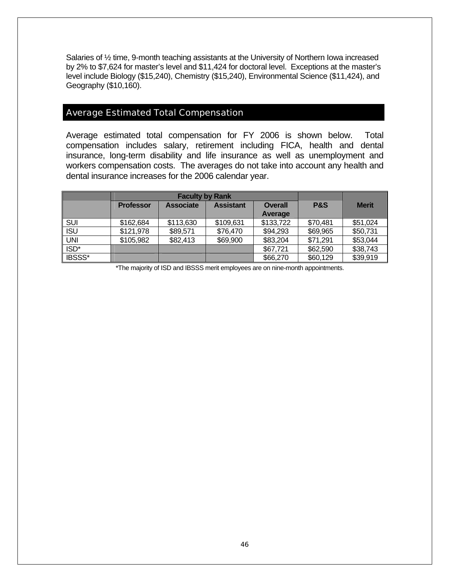Salaries of ½ time, 9-month teaching assistants at the University of Northern Iowa increased by 2% to \$7,624 for master's level and \$11,424 for doctoral level. Exceptions at the master's level include Biology (\$15,240), Chemistry (\$15,240), Environmental Science (\$11,424), and Geography (\$10,160).

#### Average Estimated Total Compensation

Average estimated total compensation for FY 2006 is shown below. Total compensation includes salary, retirement including FICA, health and dental insurance, long-term disability and life insurance as well as unemployment and workers compensation costs. The averages do not take into account any health and dental insurance increases for the 2006 calendar year.

|                       |                                      | <b>Faculty by Rank</b> |                  |                |                |              |  |
|-----------------------|--------------------------------------|------------------------|------------------|----------------|----------------|--------------|--|
|                       | <b>Associate</b><br><b>Professor</b> |                        | <b>Assistant</b> | <b>Overall</b> | <b>P&amp;S</b> | <b>Merit</b> |  |
|                       |                                      |                        |                  | Average        |                |              |  |
| SUI                   | \$162,684                            | \$113,630              | \$109,631        | \$133,722      | \$70,481       | \$51,024     |  |
| I ISU                 | \$121,978                            | \$89,571               | \$76,470         | \$94,293       | \$69,965       | \$50,731     |  |
| l uni                 | \$105,982                            | \$82,413               | \$69,900         | \$83,204       | \$71,291       | \$53,044     |  |
| $\sqrt{\text{ISD}^*}$ |                                      |                        |                  | \$67,721       | \$62,590       | \$38,743     |  |
| <b>BSSS*</b>          |                                      |                        |                  | \$66,270       | \$60,129       | \$39,919     |  |

\*The majority of ISD and IBSSS merit employees are on nine-month appointments.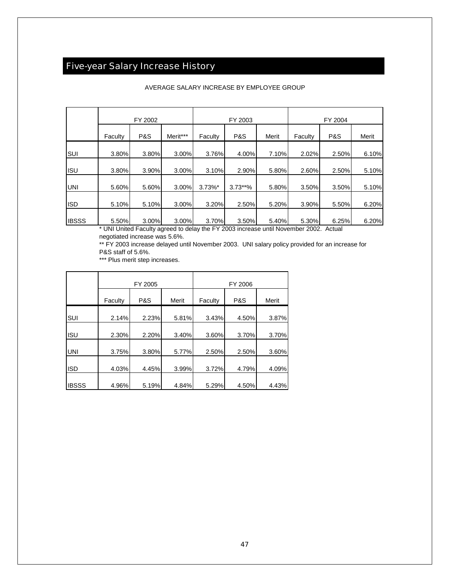# Five-year Salary Increase History

|              |         | FY 2002        |          |            | FY 2003    |       | FY 2004  |                |       |  |  |
|--------------|---------|----------------|----------|------------|------------|-------|----------|----------------|-------|--|--|
|              | Faculty | <b>P&amp;S</b> | Merit*** | Faculty    | P&S        | Merit | Faculty  | <b>P&amp;S</b> | Merit |  |  |
| SUI          | 3.80%   | 3.80%          | 3.00%    | 3.76%      | 4.00%      | 7.10% | 2.02%    | 2.50%          | 6.10% |  |  |
| <b>ISU</b>   | 3.80%   | 3.90%          | 3.00%    | 3.10%      | 2.90%      | 5.80% | 2.60%    | 2.50%          | 5.10% |  |  |
| <b>UNI</b>   | 5.60%   | 5.60%          | 3.00%    | $3.73\%$ * | $3.73***%$ | 5.80% | 3.50%    | 3.50%          | 5.10% |  |  |
| <b>ISD</b>   | 5.10%   | 5.10%          | 3.00%    | 3.20%      | 2.50%      | 5.20% | $3.90\%$ | 5.50%          | 6.20% |  |  |
| <b>IBSSS</b> | 5.50%   | 3.00%          | 3.00%    | 3.70%      | 3.50%      | 5.40% | 5.30%    | 6.25%          | 6.20% |  |  |

#### AVERAGE SALARY INCREASE BY EMPLOYEE GROUP

UNI United Faculty agreed to delay the FY 2003 increase until November 2002. Actual negotiated increase was 5.6%.

\*\* FY 2003 increase delayed until November 2003. UNI salary policy provided for an increase for P&S staff of 5.6%.

\*\*\* Plus merit step increases.

|              |         | FY 2005        |       | FY 2006 |       |       |  |  |  |  |
|--------------|---------|----------------|-------|---------|-------|-------|--|--|--|--|
|              | Faculty | <b>P&amp;S</b> | Merit | Faculty | P&S   | Merit |  |  |  |  |
| SUI          | 2.14%   | 2.23%          | 5.81% | 3.43%   | 4.50% | 3.87% |  |  |  |  |
| <b>ISU</b>   | 2.30%   | 2.20%          | 3.40% | 3.60%   | 3.70% | 3.70% |  |  |  |  |
| <b>UNI</b>   | 3.75%   | 3.80%          | 5.77% | 2.50%   | 2.50% | 3.60% |  |  |  |  |
| <b>ISD</b>   | 4.03%   | 4.45%          | 3.99% | 3.72%   | 4.79% | 4.09% |  |  |  |  |
| <b>IBSSS</b> | 4.96%   | 5.19%          | 4.84% | 5.29%   | 4.50% | 4.43% |  |  |  |  |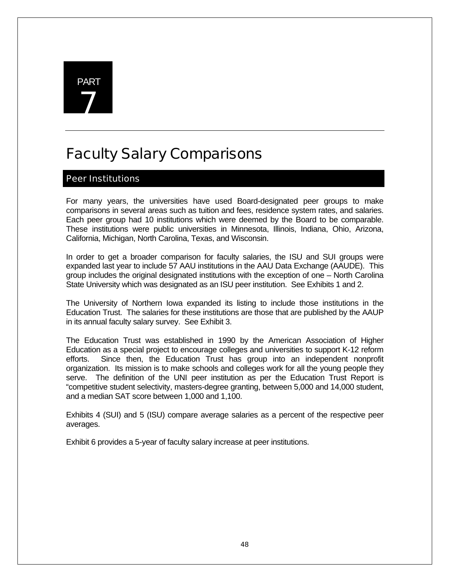

# Faculty Salary Comparisons

# Peer Institutions

For many years, the universities have used Board-designated peer groups to make comparisons in several areas such as tuition and fees, residence system rates, and salaries. Each peer group had 10 institutions which were deemed by the Board to be comparable. These institutions were public universities in Minnesota, Illinois, Indiana, Ohio, Arizona, California, Michigan, North Carolina, Texas, and Wisconsin.

In order to get a broader comparison for faculty salaries, the ISU and SUI groups were expanded last year to include 57 AAU institutions in the AAU Data Exchange (AAUDE). This group includes the original designated institutions with the exception of one – North Carolina State University which was designated as an ISU peer institution. See Exhibits 1 and 2.

The University of Northern Iowa expanded its listing to include those institutions in the Education Trust. The salaries for these institutions are those that are published by the AAUP in its annual faculty salary survey. See Exhibit 3.

The Education Trust was established in 1990 by the American Association of Higher Education as a special project to encourage colleges and universities to support K-12 reform efforts. Since then, the Education Trust has group into an independent nonprofit organization. Its mission is to make schools and colleges work for all the young people they serve. The definition of the UNI peer institution as per the Education Trust Report is "competitive student selectivity, masters-degree granting, between 5,000 and 14,000 student, and a median SAT score between 1,000 and 1,100.

Exhibits 4 (SUI) and 5 (ISU) compare average salaries as a percent of the respective peer averages.

Exhibit 6 provides a 5-year of faculty salary increase at peer institutions.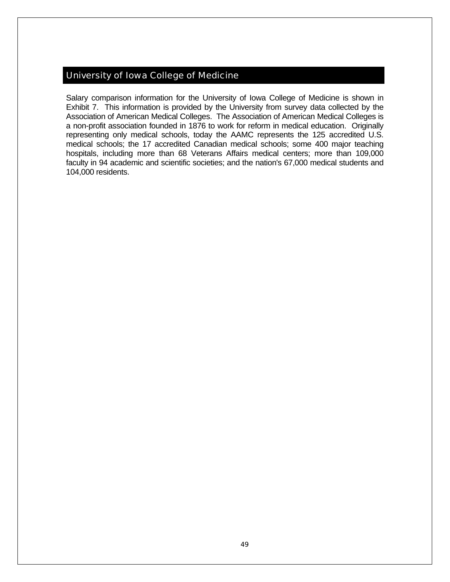## University of Iowa College of Medicine

Salary comparison information for the University of Iowa College of Medicine is shown in Exhibit 7. This information is provided by the University from survey data collected by the Association of American Medical Colleges. The Association of American Medical Colleges is a non-profit association founded in 1876 to work for reform in medical education. Originally representing only medical schools, today the AAMC represents the 125 accredited U.S. medical schools; the 17 accredited Canadian medical schools; some 400 major teaching hospitals, including more than 68 Veterans Affairs medical centers; more than 109,000 faculty in 94 academic and scientific societies; and the nation's 67,000 medical students and 104,000 residents.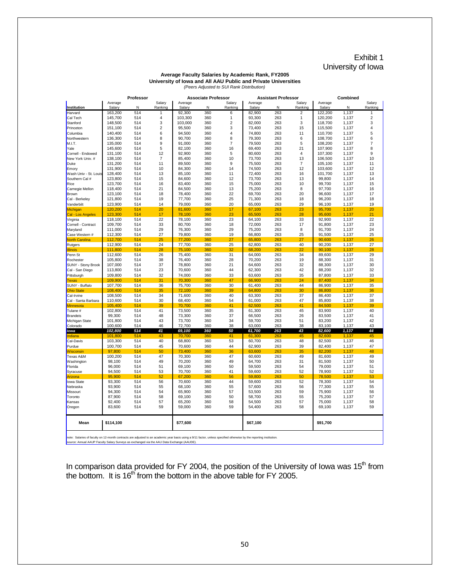#### Exhibit 1 University of Iowa

#### **Average Faculty Salaries by Academic Rank, FY2005 University of Iowa and All AAU Public and Private Universities** *(Peers Adjusted to SUI Rank Distribution)*

|                                   |                                                                                                                                                                                                                                                                    | Professor  |                |                  | <b>Associate Professor</b> |                |                  | <b>Assistant Professor</b> |                |                   | Combined       |                |
|-----------------------------------|--------------------------------------------------------------------------------------------------------------------------------------------------------------------------------------------------------------------------------------------------------------------|------------|----------------|------------------|----------------------------|----------------|------------------|----------------------------|----------------|-------------------|----------------|----------------|
|                                   | Average                                                                                                                                                                                                                                                            | N          | Salary         | Average          | N                          | Salary         | Average          | N                          | Salary         | Average           | Ν              | Salary         |
| Institution<br>Harvard            | Salary                                                                                                                                                                                                                                                             | 514        | Ranking<br>1   | Salary<br>92,300 | 360                        | Ranking<br>6   | Salary<br>82,900 | 263                        | Ranking<br>2   | Salary<br>122,200 | 1,137          | Ranking        |
| Cal Tech                          | 163,200<br>145,700                                                                                                                                                                                                                                                 | 514        | 4              | 103,300          | 360                        | 1              | 93,300           | 263                        | 1              | 120,200           | 1,137          | $\overline{2}$ |
| Stanford                          | 148.500                                                                                                                                                                                                                                                            | 514        | 3              | 103.000          | 360                        | $\overline{2}$ | 82.000           | 263                        | 3              | 118,700           | 1.137          | 3              |
| Princeton                         | 151,100                                                                                                                                                                                                                                                            | 514        | $\overline{2}$ | 95,500           | 360                        | 3              | 73,400           | 263                        | 15             | 115,500           | 1,137          | 4              |
| Columbia                          | 140,400                                                                                                                                                                                                                                                            | 514        | 6              | 94,500           | 360                        | 4              | 74,800           | 263                        | 11             | 110,700           | 1,137          | 5              |
| Northwestern                      | 136,300                                                                                                                                                                                                                                                            | 514        | 8              | 90,700           | 360                        | 8              | 79,300           | 263                        | 6              | 108,700           | 1,137          | 6              |
| M.I.T.                            | 135,000                                                                                                                                                                                                                                                            | 514        | 9              | 91,000           | 360                        | $\overline{7}$ | 79,500           | 263                        | 5              | 108,200           | 1,137          | $\overline{7}$ |
| Yale                              | 145,600                                                                                                                                                                                                                                                            | 514        | 5              | 82,100           | 360                        | 16             | 69,400           | 263                        | 21             | 107,900           | 1,137          | 8              |
| Cornell - Endowed                 | 131,100                                                                                                                                                                                                                                                            | 514        | 12             | 92,900           | 360                        | 5              | 80,600           | 263                        | $\overline{4}$ | 107,300           | 1,137          | 9              |
| New York Univ. #                  | 138,100                                                                                                                                                                                                                                                            | 514        | $\overline{7}$ | 85,400           | 360                        | 10             | 73,700           | 263                        | 13             | 106,500           | 1,137          | 10             |
| Duke                              | 131,200                                                                                                                                                                                                                                                            | 514        | 11             | 89,500           | 360                        | 9              | 75,500           | 263                        | 7              | 105,100           | 1,137          | 11             |
| Emory                             | 131,900                                                                                                                                                                                                                                                            | 514        | 10             | 84,300           | 360                        | 14             | 74,500           | 263                        | 12             | 103,600           | 1,137          | 12             |
| Wash Univ - St. Louis             | 128,400                                                                                                                                                                                                                                                            | 514        | 13             | 85,100           | 360                        | 11             | 72,400           | 263                        | 16             | 101,700           | 1.137          | 13             |
| Southern Cal #                    | 123,800                                                                                                                                                                                                                                                            | 514        | 15             | 84,600           | 360                        | 12             | 73,700           | 263                        | 13             | 99,800            | 1,137          | 14             |
| Rice                              | 123,700                                                                                                                                                                                                                                                            | 514        | 16             | 83,400           | 360                        | 15             | 75,000           | 263                        | 10             | 99,700            | 1,137          | 15             |
| Carnegie Mellon                   | 118,400                                                                                                                                                                                                                                                            | 514        | 21             | 84,500           | 360                        | 13             | 75,200           | 263                        | 8              | 97,700            | 1,137          | 16             |
| Brown                             | 123,100                                                                                                                                                                                                                                                            | 514        | 18             | 78,400           | 360                        | 22             | 69,700           | 263                        | 20             | 96,600            | 1,137          | 17             |
| Cal - Berkeley                    | 121,800                                                                                                                                                                                                                                                            | 514        | 19             | 77,700           | 360                        | 25             | 71,300           | 263                        | 18             | 96,200            | 1,137          | 18             |
| Vanderbilt                        | 123,900                                                                                                                                                                                                                                                            | 514        | 14             | 79,000           | 360                        | 20             | 65,000           | 263                        | 29             | 96,100            | 1,137          | 19             |
| Michigan                          | 120,200                                                                                                                                                                                                                                                            | 514        | 20             | 81,600           | 360                        | 17             | 67,100           | 263                        | 23             | 95,700            | 1,137          | 20             |
| Cal - Los Angeles                 | 123,300                                                                                                                                                                                                                                                            | 514        | 17             | 78,100           | 360                        | 23             | 65,500           | 263                        | 28             | 95,600            | 1,137          | 21             |
| Virginia                          | 118,100                                                                                                                                                                                                                                                            | 514        | 22             | 78,100           | 360                        | 23             | 64,100           | 263                        | 33             | 92,900            | 1,137          | 22             |
| Cornell - Contract                | 109,700                                                                                                                                                                                                                                                            | 514        | 33             | 80,700           | 360                        | 18             | 72,000           | 263                        | 17             | 91,800            | 1,137          | 23             |
| Maryland                          | 111,000                                                                                                                                                                                                                                                            | 514<br>514 | 29<br>27       | 76,300           | 360                        | 29             | 75,200           | 263                        | 8              | 91,700            | 1,137          | 24             |
| Case Western #                    | 112,300                                                                                                                                                                                                                                                            | 514        | 25             | 79,800<br>77,200 | 360<br>360                 | 19<br>27       | 66,800           | 263<br>263                 | 25<br>27       | 91,500<br>90,600  | 1,137          | 25<br>26       |
| North Carolina<br>Rutgers         | 112,700<br>112,900                                                                                                                                                                                                                                                 | 514        | 24             | 77,700           | 360                        | 25             | 65,800<br>62,800 | 263                        | 40             | 90,200            | 1,137<br>1,137 | 27             |
| Illinois                          | 111,800                                                                                                                                                                                                                                                            | 514        | 28             | 75,100           | 360                        | 32             | 68,200           | 263                        | 22             | 90,100            | 1,137          | 28             |
| Penn St                           | 112,600                                                                                                                                                                                                                                                            | 514        | 26             | 75,400           | 360                        | 31             | 64,000           | 263                        | 34             | 89,600            | 1,137          | 29             |
| Rochester                         | 105,800                                                                                                                                                                                                                                                            | 514        | 38             | 76,400           | 360                        | 28             | 70,200           | 263                        | 19             | 88,300            | 1,137          | 31             |
| <b>SUNY - Stony Brook</b>         | 107,000                                                                                                                                                                                                                                                            | 514        | 37             | 78,800           | 360                        | 21             | 64,600           | 263                        | 32             | 88,300            | 1,137          | 30             |
| Cal - San Diego                   | 113,800                                                                                                                                                                                                                                                            | 514        | 23             | 70,600           | 360                        | 44             | 62,300           | 263                        | 42             | 88,200            | 1,137          | 32             |
| Pittsburgh                        | 109,800                                                                                                                                                                                                                                                            | 514        | 32             | 74,000           | 360                        | 33             | 63,600           | 263                        | 35             | 87,800            | 1,137          | 33             |
| <b>Texas</b>                      | 109,900                                                                                                                                                                                                                                                            | 514        | 31             | 70,300           | 360                        | 47             | 66,900           | 263                        | 24             | 87,400            | 1,137          | 34             |
| SUNY - Buffalo                    | 107,700                                                                                                                                                                                                                                                            | 514        | 36             | 75,700           | 360                        | 30             | 61,400           | 263                        | 44             | 86,900            | 1,137          | 35             |
| <b>Ohio State</b>                 | 108,400                                                                                                                                                                                                                                                            | 514        | 35             | 72,100           | 360                        | 39             | 64,800           | 263                        | 30             | 86,800            | 1,137          | 36             |
| Cal-Irvine                        | 108,500                                                                                                                                                                                                                                                            | 514        | 34             | 71,600           | 360                        | 40             | 63,300           | 263                        | 37             | 86,400            | 1,137          | 37             |
| Cal - Santa Barbara               | 110,600                                                                                                                                                                                                                                                            | 514        | 30             | 68,400           | 360                        | 54             | 61,000           | 263                        | 47             | 85,800            | 1,137          | 38             |
| <b>Minnesota</b>                  | 105,400                                                                                                                                                                                                                                                            | 514        | 39             | 70,700           | 360                        | 41             | 62,500           | 263                        | 41             | 84,500            | 1,137          | 39             |
| Tulane #                          | 102,800                                                                                                                                                                                                                                                            | 514        | 41             | 73,500           | 360                        | 35             | 61,300           | 263                        | 45             | 83,900            | 1,137          | 40             |
| Brandeis                          | 99,300                                                                                                                                                                                                                                                             | 514        | 48             | 73,300           | 360                        | 37             | 66,500           | 263                        | 26             | 83,500            | 1,137          | 41             |
| Michigan State                    | 101,800                                                                                                                                                                                                                                                            | 514        | 43             | 73,700           | 360                        | 34             | 59,700           | 263                        | 51             | 83,200            | 1,137          | 42             |
| Colorado                          | 100,600                                                                                                                                                                                                                                                            | 514        | 46             | 72,700           | 360                        | 38             | 63.000           | 263                        | 38             | 83,100            | 1.137          | 43             |
| lowa                              | 102,800                                                                                                                                                                                                                                                            | 514        | 41             | 69,100           | 360                        | 50             | 61,700           | 263                        | 43             | 82,600            | 1,137          | 44             |
| ndiana                            | 101,800                                                                                                                                                                                                                                                            | 514        | 43             | 70,700           | 360                        | 41             | 61,300           | 263                        | 45             | 82,600            | 1,137          | 45             |
| Cal-Davis                         | 103,300                                                                                                                                                                                                                                                            | 514        | 40             | 68,800           | 360                        | 53             | 60,700           | 263                        | 48             | 82,500            | 1,137          | 46             |
| Purdue                            | 100,700                                                                                                                                                                                                                                                            | 514        | 45             | 70,600           | 360                        | 44             | 62,900           | 263                        | 39             | 82,400            | 1,137          | 47             |
| Wisconsin<br><b>Texas A&amp;M</b> | 97,800<br>100,200                                                                                                                                                                                                                                                  | 514<br>514 | 50<br>47       | 73,400<br>70,300 | 360<br>360                 | 36<br>47       | 63,600<br>60,600 | 263<br>263                 | 35<br>49       | 82,200<br>81,600  | 1,137<br>1,137 | 48<br>49       |
| Washington                        | 98,100                                                                                                                                                                                                                                                             | 514        | 49             | 70,200           | 360                        | 49             | 64,700           | 263                        | 31             | 81,500            | 1,137          | 50             |
| Florida                           | 96,000                                                                                                                                                                                                                                                             | 514        | 51             | 69,100           | 360                        | 50             | 59,500           | 263                        | 54             | 79,000            | 1,137          | 51             |
| Syracuse                          | 94,500                                                                                                                                                                                                                                                             | 514        | 53             | 70,700           | 360                        | 41             | 59,600           | 263                        | 52             | 78,900            | 1,137          | 52             |
| Arizona                           | 95,900                                                                                                                                                                                                                                                             | 514        | 52             | 67,200           | 360                        | 56             | 59,800           | 263                        | 50             | 78,500            | 1,137          | 53             |
| <b>lowa State</b>                 | 93,300                                                                                                                                                                                                                                                             | 514        | 56             | 70,600           | 360                        | 44             | 59,600           | 263                        | 52             | 78,300            | 1,137          | 54             |
| Nebraska                          | 93.900                                                                                                                                                                                                                                                             | 514        | 55             | 68.100           | 360                        | 55             | 57,600           | 263                        | 56             | 77,300            | 1.137          | 55             |
| Missouri                          | 94,300                                                                                                                                                                                                                                                             | 514        | 54             | 65,900           | 360                        | 57             | 53,500           | 263                        | 59             | 75,900            | 1,137          | 56             |
| Toronto                           | 87,900                                                                                                                                                                                                                                                             | 514        | 58             | 69,100           | 360                        | 50             | 58,700           | 263                        | 55             | 75,200            | 1,137          | 57             |
| Kansas                            | 92,400                                                                                                                                                                                                                                                             | 514        | 57             | 65,200           | 360                        | 58             | 54,500           | 263                        | 57             | 75,000            | 1,137          | 58             |
| Oregon                            | 83,600                                                                                                                                                                                                                                                             | 514        | 59             | 59,000           | 360                        | 59             | 54,400           | 263                        | 58             | 69,100            | 1,137          | 59             |
| Mean                              | \$114,100                                                                                                                                                                                                                                                          |            |                | \$77,600         |                            |                | \$67,100         |                            |                | \$91,700          |                |                |
|                                   | note: Salaries of faculty on 12-month contracts are adjusted to an academic year basis using a 9/11 factor, unless specified otherwise by the reporting institution.<br>source: Annual AAUP Faculty Salary Surveys as exchanged via the AAU Data Exchange (AAUDE). |            |                |                  |                            |                |                  |                            |                |                   |                |                |

In comparison data provided for FY 2004, the position of the University of Iowa was  $15<sup>th</sup>$  from the bottom. It is 16<sup>th</sup> from the bottom in the above table for FY 2005.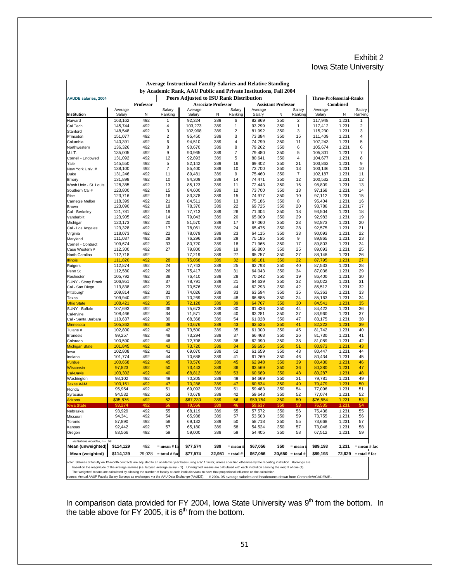#### Exhibit 2 Iowa State University

|                                 |                   |           | <b>Average Instructional Faculty Salaries and Relative Standing</b><br>by Academic Rank, AAU Public and Private Institutions, Fall 2004 |                                                |                            |                |                  |                            |                            |                                 |                 |                  |
|---------------------------------|-------------------|-----------|-----------------------------------------------------------------------------------------------------------------------------------------|------------------------------------------------|----------------------------|----------------|------------------|----------------------------|----------------------------|---------------------------------|-----------------|------------------|
| <b>AAUDE salaries, 2004</b>     |                   |           |                                                                                                                                         | <b>Peers Adjusted to ISU Rank Distribution</b> |                            |                |                  |                            |                            | <b>Three-Professorial-Ranks</b> |                 |                  |
|                                 |                   | Professor |                                                                                                                                         |                                                | <b>Associate Professor</b> |                |                  | <b>Assistant Professor</b> |                            |                                 | <b>Combined</b> |                  |
|                                 | Average           |           | Salary                                                                                                                                  | Average                                        |                            | Salary         | Average          |                            | Salary                     | Average                         |                 | Salary           |
| Institution                     | Salary<br>163,162 | Ν<br>492  | Ranking<br>1                                                                                                                            | Salary<br>92,324                               | N<br>389                   | Ranking<br>6   | Salary<br>82,869 | N<br>350                   | Ranking<br>2               | Salary<br>117,948               | N<br>1,231      | Ranking<br>1     |
| Harvard<br>Cal Tech             | 145,744           | 492       | 4                                                                                                                                       | 103,273                                        | 389                        | 1              | 93,299           | 350                        | 1                          | 117,412                         | 1,231           | 2                |
| Stanford                        | 148,548           | 492       | 3                                                                                                                                       | 102,998                                        | 389                        | 2              | 81,992           | 350                        | 3                          | 115,230                         | 1,231           | 3                |
| Princeton                       | 151,077           | 492       | $\overline{2}$                                                                                                                          | 95,450                                         | 389                        | 3              | 73,384           | 350                        | 15                         | 111,409                         | 1,231           | 4                |
| Columbia                        | 140,391           | 492       | 6                                                                                                                                       | 94,510                                         | 389                        | 4              | 74,799           | 350                        | 11                         | 107,243                         | 1,231           | 5                |
| Northwestern                    | 136,326           | 492       | 8                                                                                                                                       | 90,670                                         | 389                        | 8              | 79,262           | 350                        | 6                          | 105,674                         | 1,231           | 6                |
| M.I.T.                          | 135,005           | 492       | 9                                                                                                                                       | 90,965                                         | 389                        | $\overline{7}$ | 79,480           | 350                        | 5                          | 105,301                         | 1,231           | 7                |
| Cornell - Endowed               | 131,092           | 492       | 12                                                                                                                                      | 92,893                                         | 389                        | 5              | 80,641           | 350                        | 4                          | 104,677                         | 1,231           | 8                |
| Yale                            | 145,550           | 492       | 5                                                                                                                                       | 82,142                                         | 389                        | 16             | 69,402           | 350                        | 21                         | 103,862                         | 1,231           | 9                |
| New York Univ. #                | 138,100           | 492       | $\overline{7}$                                                                                                                          | 85,400                                         | 389                        | 10             | 73,700           | 350                        | 13                         | 103,136                         | 1,231           | 10               |
| Duke                            | 131,246           | 492       | 11                                                                                                                                      | 89,481                                         | 389                        | 9              | 75,460           | 350                        | 7                          | 102,187                         | 1,231           | 11               |
| Emory                           | 131,898           | 492       | 10                                                                                                                                      | 84,309                                         | 389                        | 14             | 74,471           | 350                        | 12                         | 100,532                         | 1,231           | 12               |
| Wash Univ - St. Louis           | 128,385           | 492       | 13                                                                                                                                      | 85,123                                         | 389                        | 11             | 72,443           | 350                        | 16                         | 98,809                          | 1,231           | 13               |
| Southern Cal #                  | 123,800           | 492       | 15                                                                                                                                      | 84,600                                         | 389                        | 12             | 73,700           | 350                        | 13                         | 97,168                          | 1,231           | 14               |
| Rice                            | 123,716           | 492       | 16                                                                                                                                      | 83,378                                         | 389                        | 15             | 74,977           | 350                        | 10                         | 97,112                          | 1,231           | 15               |
| Carnegie Mellon                 | 118,399           | 492       | 21                                                                                                                                      | 84,511                                         | 389                        | 13             | 75,186           | 350                        | 8                          | 95,404                          | 1,231           | 16               |
| Brown                           | 123,090           | 492       | 18                                                                                                                                      | 78,370                                         | 389                        | 22             | 69,725           | 350                        | 20                         | 93,786                          | 1,231           | 17               |
| Cal - Berkeley                  | 121,781           | 492       | 19                                                                                                                                      | 77,713                                         | 389                        | 26             | 71,304           | 350                        | 18                         | 93,504                          | 1,231           | 18               |
| Vanderbilt                      | 123,905           | 492       | 14                                                                                                                                      | 79,043                                         | 389                        | 20             | 65,009           | 350                        | 29                         | 92,983                          | 1,231           | 19               |
| Michigan                        | 120,173           | 492       | 20                                                                                                                                      | 81,570                                         | 389                        | 17             | 67,060           | 350                        | 23                         | 92,873                          | 1,231           | 20               |
| Cal - Los Angeles               | 123,328           | 492       | 17                                                                                                                                      | 78,061                                         | 389                        | 24             | 65,475           | 350                        | 28                         | 92,575                          | 1,231           | 21               |
| Virginia                        | 118,073           | 492       | 22                                                                                                                                      | 78,079                                         | 389                        | 23             | 64,115           | 350                        | 33                         | 90,093                          | 1,231           | 22               |
| Maryland                        | 111,037           | 492       | 29                                                                                                                                      | 76,296                                         | 389                        | 29             | 75,185           | 350                        | 9                          | 89,865                          | 1,231           | 23               |
| Cornell - Contract              | 109,674           | 492       | 33                                                                                                                                      | 80,720                                         | 389                        | 18             | 71,965           | 350                        | 17                         | 89,803                          | 1,231           | 24               |
| Case Western #                  | 112,300           | 492       | 27                                                                                                                                      | 79,800                                         | 389                        | 19             | 66,800           | 350                        | 25                         | 89,093                          | 1,231           | 25               |
| North Carolina                  | 112,718           | 492       |                                                                                                                                         | 77,219                                         | 389                        | 27             | 65,757           | 350                        | 27                         | 88,148                          | 1,231           | 26               |
| <b>Illinois</b>                 | 111,820           | 492       | 28                                                                                                                                      | 75,058                                         | 389                        | 32             | 68,181           | 350                        | 22                         | 87,795                          | 1,231           | 27               |
| Rutgers                         | 112,874           | 492       | 24                                                                                                                                      | 77,743                                         | 389                        | 25             | 62,793           | 350                        | 40                         | 87,533                          | 1,231           | 28               |
| Penn St                         | 112,580           | 492       | 26                                                                                                                                      | 75,417                                         | 389                        | 31             | 64,043           | 350                        | 34                         | 87,036                          | 1,231           | 29               |
| Rochester                       | 105,792           | 492       | 38                                                                                                                                      | 76,410                                         | 389                        | 28             | 70,242           | 350                        | 19                         | 86,400                          | 1,231           | 30               |
| <b>SUNY - Stony Brook</b>       | 106,951           | 492       | 37                                                                                                                                      | 78,791                                         | 389                        | 21             | 64,639           | 350                        | 32                         | 86,022                          | 1,231           | 31               |
| Cal - San Diego                 | 113,838           | 492       | 23                                                                                                                                      | 70,576                                         | 389                        | 44             | 62,293           | 350                        | 42                         | 85,512                          | 1,231           | 32               |
| Pittsburgh                      | 109,814           | 492       | 32                                                                                                                                      | 74,026                                         | 389                        | 33             | 63,594           | 350                        | 35                         | 85,363                          | 1,231           | 33               |
| Texas                           | 109,940           | 492       | 31                                                                                                                                      | 70,269                                         | 389                        | 48             | 66,885           | 350                        | 24                         | 85,163                          | 1,231           | 34               |
| <b>Ohio State</b>               | 108,421           | 492       | 35                                                                                                                                      | 72,128                                         | 389                        | 39             | 64,767           | 350                        | 30                         | 84,541                          | 1,231           | 35               |
| SUNY - Buffalo                  | 107,693           | 492       | 36                                                                                                                                      | 75,673                                         | 389                        | 30             | 61,436           | 350                        | 44                         | 84,422                          | 1,231           | 36               |
| Cal-Irvine                      | 108,466           | 492       | 34                                                                                                                                      | 71,571                                         | 389                        | 40             | 63,281           | 350                        | 37                         | 83,960                          | 1,231           | 37               |
| Cal - Santa Barbara             | 110,637           | 492       | 30                                                                                                                                      | 68,368                                         | 389                        | 54             | 61,028           | 350                        | 47                         | 83,175                          | 1,231           | 38               |
| Minnesota                       | 105,362           | 492       | 39                                                                                                                                      | 70,676                                         | 389                        | 43             | 62,525           | 350                        | 41                         | 82,222                          | 1,231           | 39               |
| Tulane #                        | 102,800           | 492       | 42                                                                                                                                      | 73,500                                         | 389                        | 35             | 61,300           | 350                        | 45                         | 81,742                          | 1,231           | 40               |
| <b>Brandeis</b>                 | 99,257            | 492       | 48                                                                                                                                      | 73,294                                         | 389                        | 37             | 66,468           | 350                        | 26                         | 81,730                          | 1,231           | 41               |
| Colorado                        | 100,590           | 492       | 46                                                                                                                                      | 72,708                                         | 389                        | 38             | 62,990           | 350                        | 38                         | 81,089                          | 1,231           | 42               |
| <b>Michigan State</b>           | 101,845           | 492       | 43                                                                                                                                      | 73,720                                         | 389                        | 34             | 59,695           | 350                        | 51                         | 80,973                          | 1,231           | 43               |
| lowa                            | 102,808           | 492       | 41                                                                                                                                      | 69,070                                         | 389                        | 52             | 61,659           | 350                        | 43                         | 80,447                          | 1,231           | 44               |
| Indiana                         | 101,774           | 492       | 44                                                                                                                                      | 70,688                                         | 389                        | 41             | 61,269           | 350                        | 46                         | 80,434                          | 1,231           | 45               |
| Purdue                          | 100,658           | 492       | 45                                                                                                                                      | 70,576                                         | 389                        | 45             | 62,948           | 350                        | 39                         | 80,430                          | 1,231           | 46               |
| Wisconsin                       | 97,823            | 492       | 50                                                                                                                                      | 73,443                                         | 389                        | 36             | 63,569           | 350                        | 36                         | 80,380                          | 1,231           | 47               |
| <b>Cal-Davis</b>                | 103,302           | 492       | 40                                                                                                                                      | 68,812                                         | 389                        | 53             | 60,689           | 350                        | 48                         | 80,287                          | 1,231           | 48               |
| Washington                      | 98,102            | 492       | 49                                                                                                                                      | 70,205                                         | 389                        | 49             | 64,669           | 350                        | 31                         | 79,781                          | 1,231           | 49               |
| Texas A&M                       | 100,151           | 492       | 47                                                                                                                                      | 70,288                                         | 389                        | 47             | 60,634           | 350                        | 49                         | 79,479                          | 1,231           | 50               |
| Florida                         | 95,954            | 492       | 51                                                                                                                                      | 69,092                                         | 389                        | 51             | 59,483           | 350                        | 54                         | 77,096                          | 1,231           | 51               |
| Syracuse                        | 94,532            | 492       | 53                                                                                                                                      | 70,678                                         | 389                        | 42             | 59,643           | 350                        | 52                         | 77,074                          | 1,231           | 52               |
| Arizona                         | \$95,876          | 492       | 52                                                                                                                                      | \$67,230                                       | 389                        | 56             | \$59,754         | 350                        | 50                         | \$76,554                        | 1,231           | 53               |
| owa State                       | 93,274            | 492       | 56                                                                                                                                      | 70,566                                         | 389                        | 46             | 59,637           | 350                        | 53                         | 76,535                          | 1,231           | 54               |
| Nebraska                        | 93,929            | 492       | 55                                                                                                                                      | 68,119                                         | 389                        | 55             | 57,572           | 350                        | 56                         | 75,436                          | 1,231           | 55               |
| Missouri                        | 94,341            | 492       | 54                                                                                                                                      | 65,938                                         | 389                        | 57             | 53,503           | 350                        | 59                         | 73,755                          | 1,231           | 56               |
| Toronto                         | 87,890            | 492       | 58                                                                                                                                      | 69,132                                         | 389                        | 50             | 58,718           | 350                        | 55                         | 73,668                          | 1,231           | 57               |
| Kansas                          | 92,442            | 492       | 57                                                                                                                                      | 65,180                                         | 389                        | 58             | 54,524           | 350                        | 57                         | 73,046                          | 1,231           | 58               |
| Oregon                          | 83,566            | 492       | 59                                                                                                                                      | 59,000                                         | 389                        | 59             | 54,405           | 350                        | 58                         | 67,512                          | 1,231           | 59               |
|                                 |                   |           |                                                                                                                                         |                                                |                            |                |                  |                            |                            |                                 |                 |                  |
| institutions included, $n = 59$ |                   |           |                                                                                                                                         |                                                |                            |                |                  |                            |                            |                                 |                 |                  |
| Mean (unweighted)               | \$114,129         | 492       | = mean # fa                                                                                                                             | \$77,574                                       | 389                        | $=$ mean $\#$  | \$67,056         | 350                        | $=$ mean                   | \$89,193                        | 1,231           | $=$ mean $#$ fac |
| Mean (weighted)                 | \$114,129         | 29,028    | $=$ total # fac                                                                                                                         | \$77,574                                       | 22,951                     | $=$ total #    | \$67,056         |                            | $20,650 = \text{total } #$ | \$89,193                        | 72,629          | $=$ total # fac  |

# **Average Instructional Faculty Salaries and Relative Standing**

The 'weighted' means are calculated by allowing the number of faculty at each institution/rank to have that proportional influence on the calculation.<br>source: Annual AAUP Faculty Salary Surveys as exchanged via the AAU Dat

In comparison data provided for FY 2004, Iowa State University was  $9<sup>th</sup>$  from the bottom. In the table above for FY 2005, it is  $6<sup>th</sup>$  from the bottom.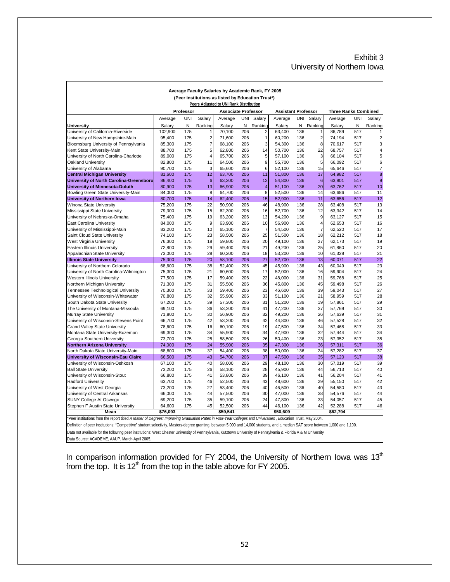#### Exhibit 3 University of Northern Iowa

|                                                                                                                                                                                 |                  |            |                         | Average Faculty Salaries by Academic Rank, FY 2005 |            |                |                            |            |                         |                             |            |                         |
|---------------------------------------------------------------------------------------------------------------------------------------------------------------------------------|------------------|------------|-------------------------|----------------------------------------------------|------------|----------------|----------------------------|------------|-------------------------|-----------------------------|------------|-------------------------|
|                                                                                                                                                                                 |                  |            |                         | (Peer institutions as listed by Education Trust*)  |            |                |                            |            |                         |                             |            |                         |
|                                                                                                                                                                                 |                  |            |                         | Peers Adjusted to UNI Rank Distribution            |            |                |                            |            |                         |                             |            |                         |
|                                                                                                                                                                                 |                  | Professor  |                         | <b>Associate Professor</b>                         |            |                | <b>Assistant Professor</b> |            |                         | <b>Three Ranks Combined</b> |            |                         |
|                                                                                                                                                                                 | Average          | <b>UNI</b> | Salary                  | Average                                            |            | UNI Salary     | Average                    |            | UNI Salary              | Average                     | <b>UNI</b> | Salary                  |
| <b>University</b>                                                                                                                                                               | Salary           | N          | Ranking                 | Salary                                             | N          | Ranking        | Salary                     | N          | Ranking                 | Salary                      | N          | Ranking                 |
| University of California-Riverside                                                                                                                                              | 102,900          | 175        | 1                       | 70,100                                             | 206        | 2              | 63,400                     | 136        | 1                       | 86,789                      | 517        |                         |
| University of New Hampshire-Main                                                                                                                                                | 95,400           | 175        | $\overline{\mathbf{c}}$ | 71,600                                             | 206        | 1              | 60,200                     | 136        | $\overline{\mathbf{c}}$ | 74,194                      | 517        | $\overline{c}$          |
| Bloomsburg University of Pennsylvania                                                                                                                                           | 85,300           | 175        | $\overline{7}$          | 68,100                                             | 206        | 3              | 54,300                     | 136        | 8                       | 70,617                      | 517        | $\overline{\mathbf{3}}$ |
| Kent State University-Main                                                                                                                                                      | 88,700           | 175        | 5                       | 62,800                                             | 206        | 14             | 50,700                     | 136        | 22                      | 68,757                      | 517        | $\overline{\mathbf{4}}$ |
| University of North Carolina-Charlotte                                                                                                                                          | 89,000           | 175        | $\overline{\mathbf{4}}$ | 65,700                                             | 206        | 5              | 57,100                     | 136        | 3                       | 66,104                      | 517        | $\overline{5}$          |
| Oakland University                                                                                                                                                              | 82,800           | 175        | 11                      | 64,500                                             | 206        | 9              | 55,700                     | 136        | 5                       | 66,092                      | 517        | 6                       |
| University of Alabama                                                                                                                                                           | 90,700           | 175        | 3                       | 65,600                                             | 206        | 6              | 52,100                     | 136        | 15                      | 65,646                      | 517        | $\overline{7}$          |
| <b>Central Michigan University</b>                                                                                                                                              | 81,600           | 175        | 12                      | 63,700                                             | 206        | 11             | 51,800                     | 136        | 17                      | 64,982                      | 517        | 8                       |
| University of North Carolina-Greensboro                                                                                                                                         | 86,400           | 175        | 6                       | 63,200                                             | 206        | 12             | 54,800                     | 136        | $6\phantom{1}6$         | 63,801                      | 517        | $\overline{9}$          |
| <b>University of Minnesota-Duluth</b>                                                                                                                                           | 80,900           | 175        | 13                      | 66,900                                             | 206        | 4              | 51,100                     | 136        | 20                      | 63,762                      | 517        | 10                      |
| Bowling Green State University-Main                                                                                                                                             | 84,000           | 175        | 8                       | 64,700                                             | 206        | $\overline{8}$ | 52,500                     | 136        | 14                      | 63,686                      | 517        | 11                      |
| <b>University of Northern Iowa</b>                                                                                                                                              | 80,700           | 175        | 14                      | 62,400                                             | 206        | 15             | 52,900                     | 136        | 11                      | 63,656                      | 517        | 12                      |
| Winona State University                                                                                                                                                         | 75,200           | 175        | 22                      | 50,900                                             | 206        | 46             | 48,900                     | 136        | 28                      | 63,408                      | 517        | 13                      |
| Mississippi State University                                                                                                                                                    | 79,300           | 175        | 15                      | 62,300                                             | 206        | 16             | 52,700                     | 136        | 12                      | 63,342                      | 517        | 14                      |
| University of Nebraska-Omaha                                                                                                                                                    | 75,400           | 175        | 19                      | 63,200                                             | 206        | 13             | 54,200                     | 136        | 9                       | 63,127                      | 517        | 15                      |
| East Carolina University                                                                                                                                                        | 84,000           | 175        | 9                       | 63,900                                             | 206        | 10             | 56,900                     | 136        | $\overline{4}$          | 62,653                      | 517        | 16                      |
| University of Mississippi-Main                                                                                                                                                  | 83,200           | 175        | 10                      | 65,100                                             | 206        | $\overline{7}$ | 54,500                     | 136        | 7                       | 62,520                      | 517        | 17                      |
| Saint Cloud State University                                                                                                                                                    | 74,100           | 175        | 23                      | 58,500                                             | 206        | 25             | 51,500                     | 136        | 18                      | 62,212                      | 517        | 18                      |
| West Virginia University                                                                                                                                                        | 76,300           | 175        | 18                      | 59,800                                             | 206        | 20             | 49,100                     | 136        | 27                      | 62,173                      | 517        | 19                      |
| Eastern Illinois University                                                                                                                                                     | 72,800           | 175        | 29                      | 59,400                                             | 206        | 21             | 49,200                     | 136        | 25                      | 61,860                      | 517        | 20                      |
| Appalachian State University                                                                                                                                                    | 73,000           | 175        | 28                      | 60,200                                             | 206        | 18             | 53,200                     | 136        | 10                      | 61,328                      | 517        | 21                      |
| <b>Illinois State University</b>                                                                                                                                                | 75,300           | 175        | 20                      | 58,100                                             | 206        | 27             | 52,700                     | 136        | 13                      | 60,071                      | 517        | 22                      |
| University of Northern Colorado                                                                                                                                                 | 68,600           | 175        | 38                      | 52,400                                             | 206        | 45             | 45,900                     | 136        | 43                      | 60,049                      | 517        | 23                      |
| University of North Carolina-Wilmington                                                                                                                                         | 75,300           | 175        | 21                      | 60,600                                             | 206        | 17             | 52,000                     | 136        | 16                      | 59,904                      | 517        | 24                      |
| Western Illinois University                                                                                                                                                     | 77,500           | 175        | 17                      | 59,400                                             | 206        | 22             | 48,000                     | 136        | 31                      | 59,768                      | 517        | 25                      |
| Northern Michigan University                                                                                                                                                    | 71,300           | 175        | 31                      | 55,500                                             | 206        | 36             | 45,800                     | 136        | 45                      | 59,498                      | 517        | 26                      |
| <b>Tennessee Technological University</b>                                                                                                                                       | 70,300           | 175        | 33                      | 59,400                                             | 206        | 23             | 46,600                     | 136        | 39                      | 59,043                      | 517        | 27                      |
| University of Wisconsin-Whitewater                                                                                                                                              | 70,800           | 175        | 32                      | 55,900                                             | 206        | 33             | 51,100                     | 136        | 21                      | 58,959                      | 517        | 28                      |
| South Dakota State University                                                                                                                                                   | 67,200           | 175        | 39                      | 57,300                                             | 206        | 31             | 51,200                     | 136        | 19                      | 57,861                      | 517        | 29                      |
| The University of Montana-Missoula                                                                                                                                              | 69,100           | 175        | 36                      | 53,200                                             | 206        | 41             | 47,200                     | 136        | 37                      | 57,769                      | 517        | 30                      |
| Murray State University                                                                                                                                                         | 71,800           | 175        | 30                      | 56,900                                             | 206        | 32             | 49,200                     | 136        | 26                      | 57,639                      | 517        | 31                      |
| University of Wisconsin-Stevens Point                                                                                                                                           | 66,700           | 175        | 42                      | 53,200                                             | 206        | 42             | 44,800                     | 136        | 46                      | 57,528                      | 517        | 32                      |
| <b>Grand Valley State University</b>                                                                                                                                            | 78,600           | 175        | 16                      | 60,100                                             | 206        | 19             | 47,500                     | 136        | 34                      | 57,468                      | 517        | 33                      |
| Montana State University-Bozeman                                                                                                                                                | 69,300           | 175        | 34<br>25                | 55,900                                             | 206        | 34<br>26       | 47,900                     | 136<br>136 | 32<br>23                | 57,444                      | 517        | 34<br>35                |
| Georgia Southern University                                                                                                                                                     | 73,700           | 175        | 24                      | 58,500                                             | 206        | 35             | 50,400                     |            | 36                      | 57,352                      | 517        | 36                      |
| <b>Northern Arizona University</b>                                                                                                                                              | 74,000<br>68,800 | 175<br>175 | 37                      | 55,900<br>54,400                                   | 206<br>206 | 38             | 47,300<br>50,000           | 136<br>136 | 24                      | 57,311<br>57,282            | 517<br>517 | 37                      |
| North Dakota State University-Main<br><b>University of Wisconsin-Eau Claire</b>                                                                                                 |                  | 175        | 43                      | 54,700                                             | 206        | 37             | 47,500                     | 136        | 35                      | 57,120                      | 517        | 38                      |
| University of Wisconsin-Oshkosh                                                                                                                                                 | 66,500<br>67,100 | 175        | 40                      | 58,000                                             | 206        | 29             | 48,100                     | 136        | 30                      | 57,019                      | 517        | 39                      |
| <b>Ball State University</b>                                                                                                                                                    | 73,200           | 175        | 26                      | 58,100                                             | 206        | 28             | 45,900                     | 136        | 44                      | 56,713                      | 517        | 40                      |
| University of Wisconsin-Stout                                                                                                                                                   | 66,800           | 175        | 41                      | 53,800                                             | 206        | 39             | 46,100                     | 136        | 41                      | 56,204                      | 517        | 41                      |
| <b>Radford University</b>                                                                                                                                                       | 63,700           | 175        | 46                      | 52,500                                             | 206        | 43             | 48,600                     | 136        | 29                      | 55,150                      | 517        | 42                      |
| University of West Georgia                                                                                                                                                      | 73,200           | 175        | 27                      | 53,400                                             | 206        | 40             | 46,500                     | 136        | 40                      | 54,580                      | 517        | 43                      |
| University of Central Arkansas                                                                                                                                                  | 66,000           | 175        | 44                      | 57,500                                             | 206        | 30             | 47,000                     | 136        | 38                      | 54,576                      | 517        | 44                      |
| SUNY College At Oswego                                                                                                                                                          | 69,200           | 175        | 35                      | 59,100                                             | 206        | 24             | 47,800                     | 136        | 33                      | 54,057                      | 517        | 45                      |
| Stephen F Austin State University                                                                                                                                               | 64,600           | 175        | 45                      | 52,500                                             | 206        | 44             | 46,100                     | 136        | 42                      | 52,288                      | 517        | 46                      |
| Mean                                                                                                                                                                            | \$76,093         |            |                         | \$59,541                                           |            |                | \$50,609                   |            |                         | \$62,794                    |            |                         |
| *Peer institutions from the report titled A Matter of Degrees: Improving Graduation Rates in Four-Year Colleges and Universities, Education Trust, May 2004.                    |                  |            |                         |                                                    |            |                |                            |            |                         |                             |            |                         |
| Definition of peer institutions: "Competitive" student selectivity, Masters-degree granting, between 5,000 and 14,000 students, and a median SAT score between 1,000 and 1,100. |                  |            |                         |                                                    |            |                |                            |            |                         |                             |            |                         |
| Data not available for the following peer institutions: West Chester University of Pennsylvania, Kutztown University of Pennsylvania & Florida A & M University                 |                  |            |                         |                                                    |            |                |                            |            |                         |                             |            |                         |
| Data Source: ACADEME, AAUP, March-April 2005.                                                                                                                                   |                  |            |                         |                                                    |            |                |                            |            |                         |                             |            |                         |

In comparison information provided for FY 2004, the University of Northern Iowa was 13<sup>th</sup> from the top. It is  $12<sup>th</sup>$  from the top in the table above for FY 2005.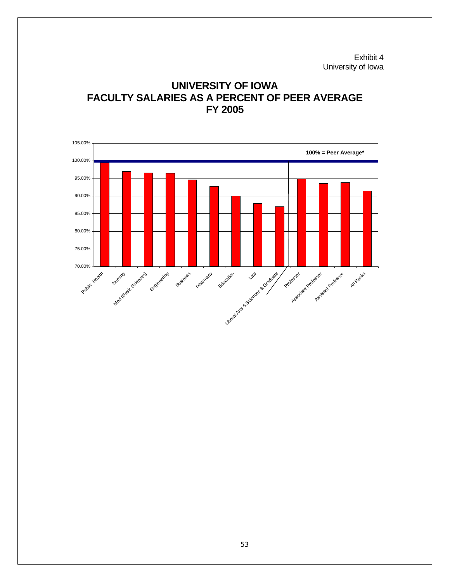Exhibit 4 University of Iowa



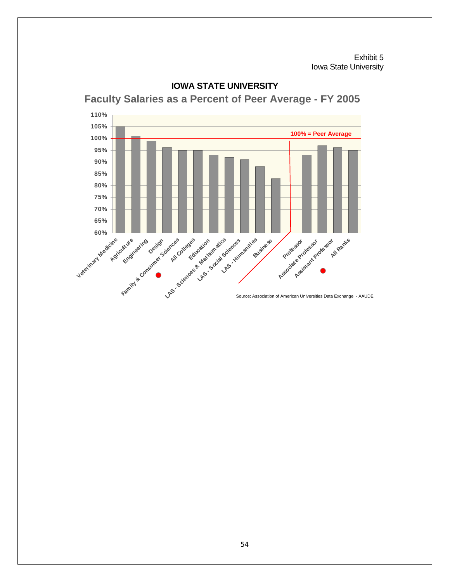Exhibit 5 Iowa State University



#### **IOWA STATE UNIVERSITY**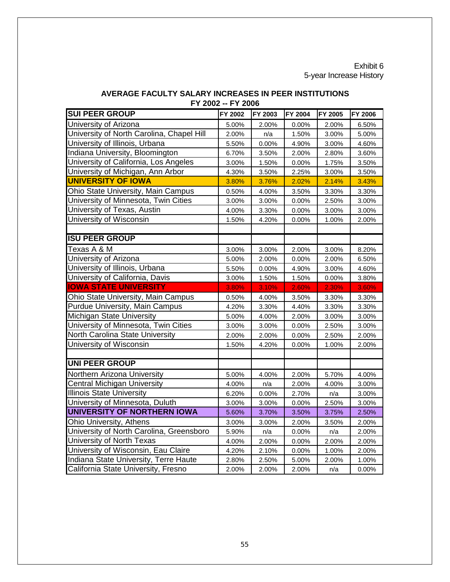#### Exhibit 6 5-year Increase History

| <b>SUI PEER GROUP</b>                     | FY 2002 | FY 2003 | FY 2004 | FY 2005 | <b>FY 2006</b> |
|-------------------------------------------|---------|---------|---------|---------|----------------|
| University of Arizona                     | 5.00%   | 2.00%   | 0.00%   | 2.00%   | 6.50%          |
| University of North Carolina, Chapel Hill | 2.00%   | n/a     | 1.50%   | 3.00%   | 5.00%          |
| University of Illinois, Urbana            | 5.50%   | 0.00%   | 4.90%   | 3.00%   | 4.60%          |
| Indiana University, Bloomington           | 6.70%   | 3.50%   | 2.00%   | 2.80%   | 3.60%          |
| University of California, Los Angeles     | 3.00%   | 1.50%   | 0.00%   | 1.75%   | 3.50%          |
| University of Michigan, Ann Arbor         | 4.30%   | 3.50%   | 2.25%   | 3.00%   | 3.50%          |
| <b>UNIVERSITY OF IOWA</b>                 | 3.80%   | 3.76%   | 2.02%   | 2.14%   | 3.43%          |
| Ohio State University, Main Campus        | 0.50%   | 4.00%   | 3.50%   | 3.30%   | 3.30%          |
| University of Minnesota, Twin Cities      | 3.00%   | 3.00%   | 0.00%   | 2.50%   | 3.00%          |
| University of Texas, Austin               | 4.00%   | 3.30%   | 0.00%   | 3.00%   | 3.00%          |
| University of Wisconsin                   | 1.50%   | 4.20%   | 0.00%   | 1.00%   | 2.00%          |
|                                           |         |         |         |         |                |
| <b>ISU PEER GROUP</b>                     |         |         |         |         |                |
| Texas A & M                               | 3.00%   | 3.00%   | 2.00%   | 3.00%   | 8.20%          |
| University of Arizona                     | 5.00%   | 2.00%   | 0.00%   | 2.00%   | 6.50%          |
| University of Illinois, Urbana            | 5.50%   | 0.00%   | 4.90%   | 3.00%   | 4.60%          |
| University of California, Davis           | 3.00%   | 1.50%   | 1.50%   | 0.00%   | 3.80%          |
| <b>IOWA STATE UNIVERSITY</b>              | 3.80%   | 3.10%   | 2.60%   | 2.30%   | 3.60%          |
| Ohio State University, Main Campus        | 0.50%   | 4.00%   | 3.50%   | 3.30%   | 3.30%          |
| Purdue University, Main Campus            | 4.20%   | 3.30%   | 4.40%   | 3.30%   | 3.30%          |
| Michigan State University                 | 5.00%   | 4.00%   | 2.00%   | 3.00%   | 3.00%          |
| University of Minnesota, Twin Cities      | 3.00%   | 3.00%   | 0.00%   | 2.50%   | 3.00%          |
| North Carolina State University           | 2.00%   | 2.00%   | 0.00%   | 2.50%   | 2.00%          |
| University of Wisconsin                   | 1.50%   | 4.20%   | 0.00%   | 1.00%   | 2.00%          |
|                                           |         |         |         |         |                |
| <b>UNI PEER GROUP</b>                     |         |         |         |         |                |
| Northern Arizona University               | 5.00%   | 4.00%   | 2.00%   | 5.70%   | 4.00%          |
| <b>Central Michigan University</b>        | 4.00%   | n/a     | 2.00%   | 4.00%   | 3.00%          |
| <b>Illinois State University</b>          | 6.20%   | 0.00%   | 2.70%   | n/a     | 3.00%          |
| University of Minnesota, Duluth           | 3.00%   | 3.00%   | 0.00%   | 2.50%   | 3.00%          |
| UNIVERSITY OF NORTHERN IOWA               | 5.60%   | 3.70%   | 3.50%   | 3.75%   | 2.50%          |
| Ohio University, Athens                   | 3.00%   | 3.00%   | 2.00%   | 3.50%   | 2.00%          |
| University of North Carolina, Greensboro  | 5.90%   | n/a     | 0.00%   | n/a     | 2.00%          |
| University of North Texas                 | 4.00%   | 2.00%   | 0.00%   | 2.00%   | 2.00%          |
| University of Wisconsin, Eau Claire       | 4.20%   | 2.10%   | 0.00%   | 1.00%   | 2.00%          |
| Indiana State University, Terre Haute     | 2.80%   | 2.50%   | 5.00%   | 2.00%   | 1.00%          |
| California State University, Fresno       | 2.00%   | 2.00%   | 2.00%   | n/a     | 0.00%          |

#### **FY 2002 -- FY 2006 AVERAGE FACULTY SALARY INCREASES IN PEER INSTITUTIONS**